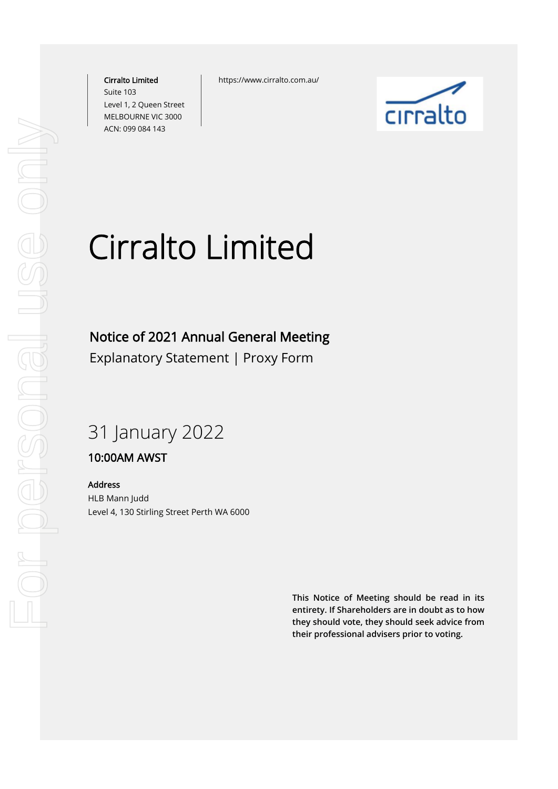Cirralto Limited Suite 103 Level 1, 2 Queen Street MELBOURNE VIC 3000 ACN: 099 084 143

https://www.cirralto.com.au/



# Cirralto Limited

## Notice of 2021 Annual General Meeting

Explanatory Statement | Proxy Form

## 31 January 2022

### 10:00AM AWST

Address

HLB Mann Judd Level 4, 130 Stirling Street Perth WA 6000

> **This Notice of Meeting should be read in its entirety. If Shareholders are in doubt as to how they should vote, they should seek advice from their professional advisers prior to voting.**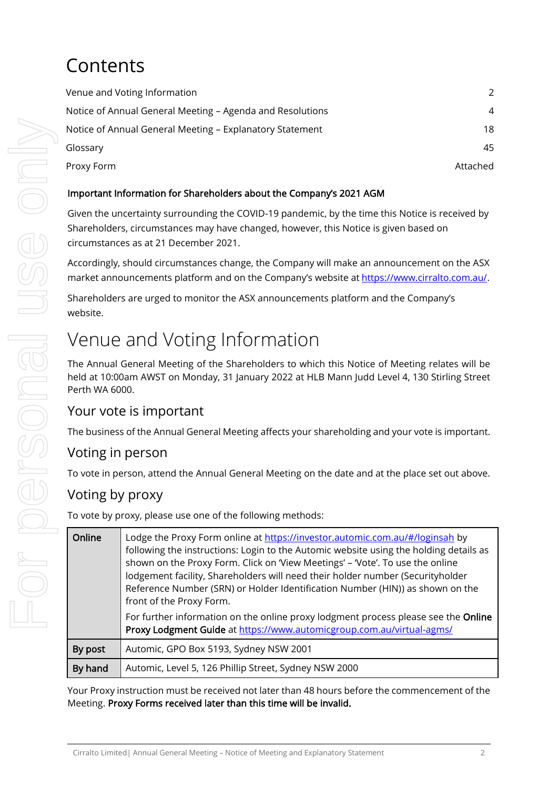## **Contents**

| Venue and Voting Information                              | 2        |
|-----------------------------------------------------------|----------|
| Notice of Annual General Meeting - Agenda and Resolutions | 4        |
| Notice of Annual General Meeting - Explanatory Statement  | 18       |
| Glossary                                                  | 45       |
| Proxy Form                                                | Attached |

#### Important Information for Shareholders about the Company's 2021 AGM

Given the uncertainty surrounding the COVID-19 pandemic, by the time this Notice is received by Shareholders, circumstances may have changed, however, this Notice is given based on circumstances as at 21 December 2021.

Accordingly, should circumstances change, the Company will make an announcement on the ASX market announcements platform and on the Company's website at [https://www.cirralto.com.au/.](https://www.cirralto.com.au/)

Shareholders are urged to monitor the ASX announcements platform and the Company's website.

## Venue and Voting Information

The Annual General Meeting of the Shareholders to which this Notice of Meeting relates will be held at 10:00am AWST on Monday, 31 January 2022 at HLB Mann Judd Level 4, 130 Stirling Street Perth WA 6000.

## Your vote is important

The business of the Annual General Meeting affects your shareholding and your vote is important.

## Voting in person

To vote in person, attend the Annual General Meeting on the date and at the place set out above.

## Voting by proxy

To vote by proxy, please use one of the following methods:

| Online  | Lodge the Proxy Form online at https://investor.automic.com.au/#/loginsah by<br>following the instructions: Login to the Automic website using the holding details as<br>shown on the Proxy Form. Click on 'View Meetings' - 'Vote'. To use the online<br>lodgement facility, Shareholders will need their holder number (Securityholder<br>Reference Number (SRN) or Holder Identification Number (HIN)) as shown on the<br>front of the Proxy Form. |
|---------|-------------------------------------------------------------------------------------------------------------------------------------------------------------------------------------------------------------------------------------------------------------------------------------------------------------------------------------------------------------------------------------------------------------------------------------------------------|
|         | For further information on the online proxy lodgment process please see the Online<br>Proxy Lodgment Guide at https://www.automicgroup.com.au/virtual-agms/                                                                                                                                                                                                                                                                                           |
| By post | Automic, GPO Box 5193, Sydney NSW 2001                                                                                                                                                                                                                                                                                                                                                                                                                |
| By hand | Automic, Level 5, 126 Phillip Street, Sydney NSW 2000                                                                                                                                                                                                                                                                                                                                                                                                 |

Your Proxy instruction must be received not later than 48 hours before the commencement of the Meeting. Proxy Forms received later than this time will be invalid.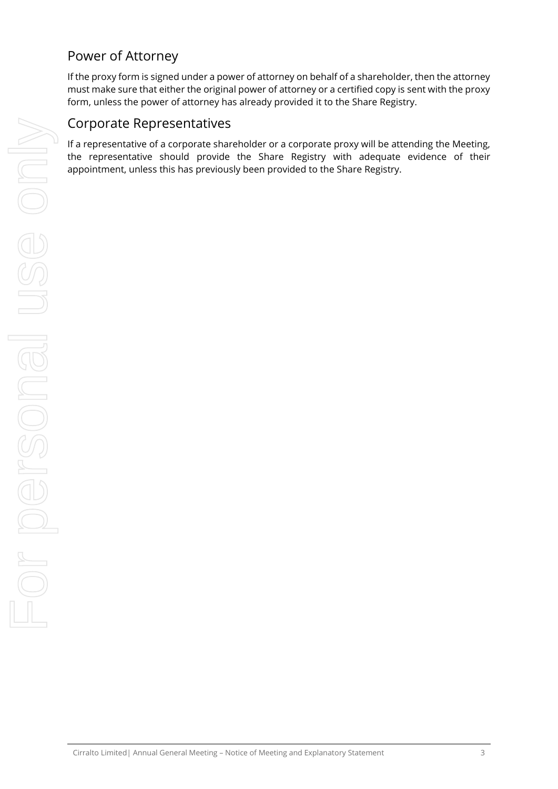## Power of Attorney

If the proxy form is signed under a power of attorney on behalf of a shareholder, then the attorney must make sure that either the original power of attorney or a certified copy is sent with the proxy form, unless the power of attorney has already provided it to the Share Registry.

### Corporate Representatives

If a representative of a corporate shareholder or a corporate proxy will be attending the Meeting, the representative should provide the Share Registry with adequate evidence of their appointment, unless this has previously been provided to the Share Registry.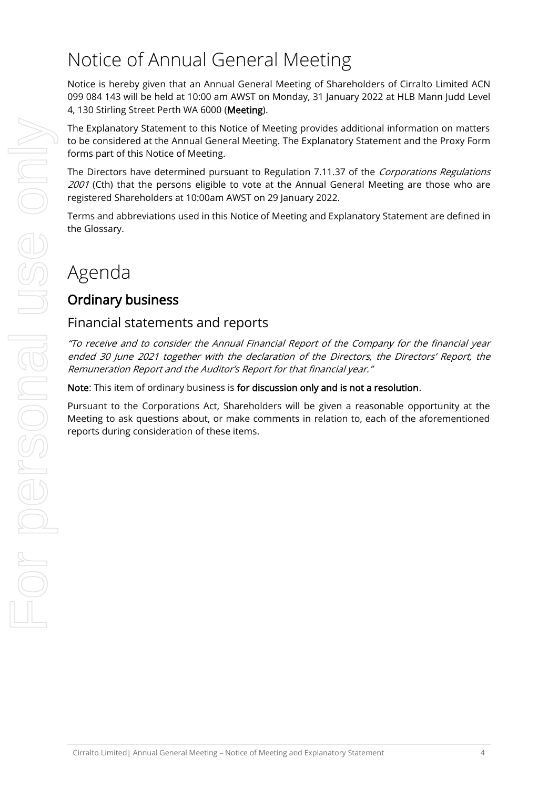## Notice of Annual General Meeting

Notice is hereby given that an Annual General Meeting of Shareholders of Cirralto Limited ACN 099 084 143 will be held at 10:00 am AWST on Monday, 31 January 2022 at HLB Mann Judd Level 4, 130 Stirling Street Perth WA 6000 (Meeting).

The Explanatory Statement to this Notice of Meeting provides additional information on matters to be considered at the Annual General Meeting. The Explanatory Statement and the Proxy Form forms part of this Notice of Meeting.

The Directors have determined pursuant to Regulation 7.11.37 of the Corporations Regulations 2001 (Cth) that the persons eligible to vote at the Annual General Meeting are those who are registered Shareholders at 10:00am AWST on 29 January 2022.

Terms and abbreviations used in this Notice of Meeting and Explanatory Statement are defined in the Glossary.

## Agenda

## Ordinary business

### Financial statements and reports

"To receive and to consider the Annual Financial Report of the Company for the financial year ended 30 June 2021 together with the declaration of the Directors, the Directors' Report, the Remuneration Report and the Auditor's Report for that financial year."

Note: This item of ordinary business is for discussion only and is not a resolution.

Pursuant to the Corporations Act, Shareholders will be given a reasonable opportunity at the Meeting to ask questions about, or make comments in relation to, each of the aforementioned reports during consideration of these items.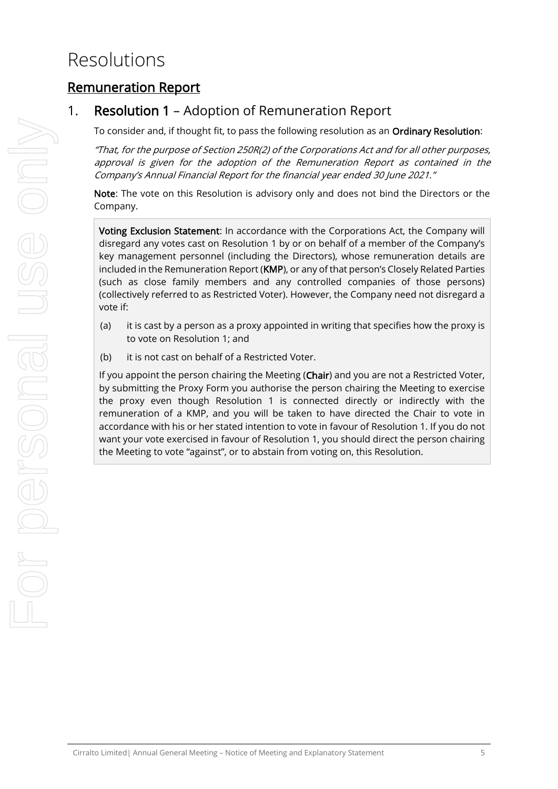## Resolutions

## Remuneration Report

## <span id="page-4-0"></span>1. Resolution [1](#page-4-0) – Adoption of Remuneration Report

To consider and, if thought fit, to pass the following resolution as an Ordinary Resolution:

"That, for the purpose of Section 250R(2) of the Corporations Act and for all other purposes, approval is given for the adoption of the Remuneration Report as contained in the Company's Annual Financial Report for the financial year ended 30 June 2021."

Note: The vote on this Resolution is advisory only and does not bind the Directors or the Company.

Voting Exclusion Statement: In accordance with the Corporations Act, the Company will disregard any votes cast on Resolution [1](#page-4-0) by or on behalf of a member of the Company's key management personnel (including the Directors), whose remuneration details are included in the Remuneration Report (KMP), or any of that person's Closely Related Parties (such as close family members and any controlled companies of those persons) (collectively referred to as Restricted Voter). However, the Company need not disregard a vote if:

- (a) it is cast by a person as a proxy appointed in writing that specifies how the proxy is to vote on Resolution [1;](#page-4-0) and
- (b) it is not cast on behalf of a Restricted Voter.

If you appoint the person chairing the Meeting (Chair) and you are not a Restricted Voter, by submitting the Proxy Form you authorise the person chairing the Meeting to exercise the proxy even though Resolution [1](#page-4-0) is connected directly or indirectly with the remuneration of a KMP, and you will be taken to have directed the Chair to vote in accordance with his or her stated intention to vote in favour of Resolution [1.](#page-4-0) If you do not want your vote exercised in favour of Resolution [1,](#page-4-0) you should direct the person chairing the Meeting to vote "against", or to abstain from voting on, this Resolution.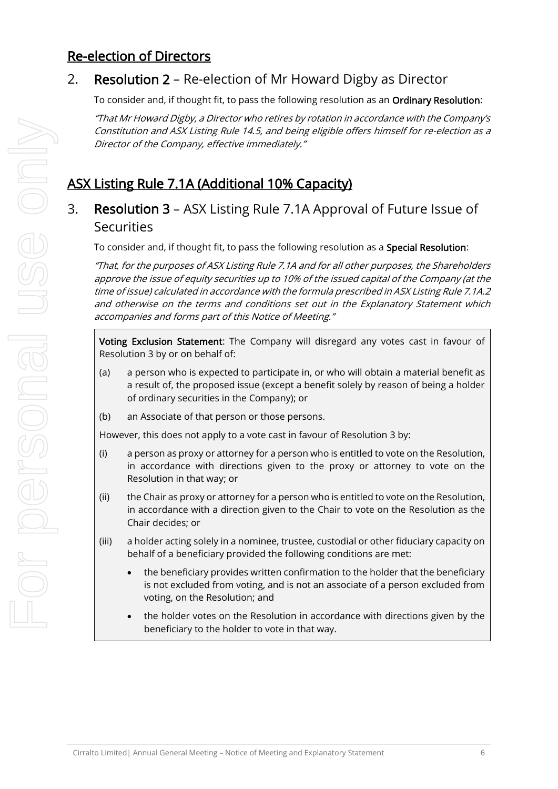## Re-election of Directors

## 2. Resolution 2 – Re-election of Mr Howard Digby as Director

To consider and, if thought fit, to pass the following resolution as an Ordinary Resolution:

"That Mr Howard Digby, a Director who retires by rotation in accordance with the Company's Constitution and ASX Listing Rule 14.5, and being eligible offers himself for re-election as a Director of the Company, effective immediately."

## ASX Listing Rule 7.1A (Additional 10% Capacity)

## 3. Resolution 3 – ASX Listing Rule 7.1A Approval of Future Issue of **Securities**

To consider and, if thought fit, to pass the following resolution as a Special Resolution:

"That, for the purposes of ASX Listing Rule 7.1A and for all other purposes, the Shareholders approve the issue of equity securities up to 10% of the issued capital of the Company (at the time of issue) calculated in accordance with the formula prescribed in ASX Listing Rule 7.1A.2 and otherwise on the terms and conditions set out in the Explanatory Statement which accompanies and forms part of this Notice of Meeting."

Voting Exclusion Statement: The Company will disregard any votes cast in favour of Resolution 3 by or on behalf of:

- (a) a person who is expected to participate in, or who will obtain a material benefit as a result of, the proposed issue (except a benefit solely by reason of being a holder of ordinary securities in the Company); or
- (b) an Associate of that person or those persons.

However, this does not apply to a vote cast in favour of Resolution 3 by:

- (i) a person as proxy or attorney for a person who is entitled to vote on the Resolution, in accordance with directions given to the proxy or attorney to vote on the Resolution in that way; or
- (ii) the Chair as proxy or attorney for a person who is entitled to vote on the Resolution, in accordance with a direction given to the Chair to vote on the Resolution as the Chair decides; or
- (iii) a holder acting solely in a nominee, trustee, custodial or other fiduciary capacity on behalf of a beneficiary provided the following conditions are met:
	- the beneficiary provides written confirmation to the holder that the beneficiary is not excluded from voting, and is not an associate of a person excluded from voting, on the Resolution; and
	- the holder votes on the Resolution in accordance with directions given by the beneficiary to the holder to vote in that way.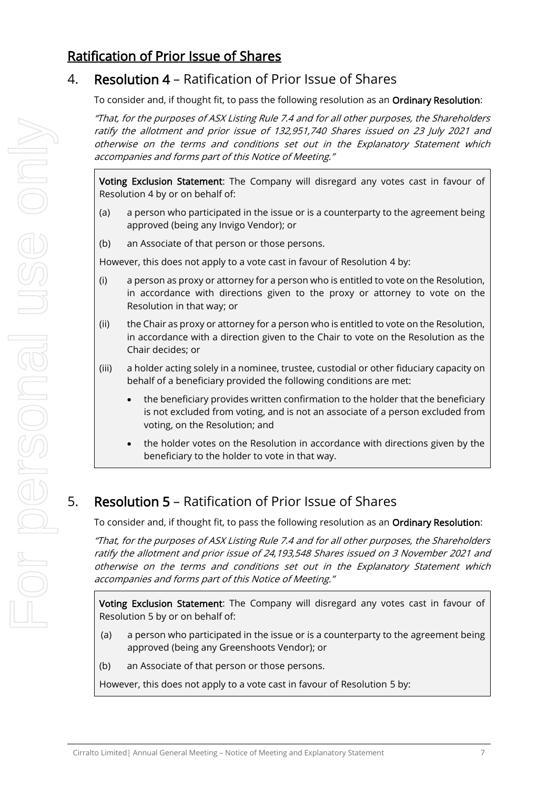## Ratification of Prior Issue of Shares

## 4. Resolution 4 – Ratification of Prior Issue of Shares

To consider and, if thought fit, to pass the following resolution as an Ordinary Resolution:

"That, for the purposes of ASX Listing Rule 7.4 and for all other purposes, the Shareholders ratify the allotment and prior issue of 132,951,740 Shares issued on 23 July 2021 and otherwise on the terms and conditions set out in the Explanatory Statement which accompanies and forms part of this Notice of Meeting."

Voting Exclusion Statement: The Company will disregard any votes cast in favour of Resolution 4 by or on behalf of:

- (a) a person who participated in the issue or is a counterparty to the agreement being approved (being any Invigo Vendor); or
- (b) an Associate of that person or those persons.

However, this does not apply to a vote cast in favour of Resolution 4 by:

- (i) a person as proxy or attorney for a person who is entitled to vote on the Resolution, in accordance with directions given to the proxy or attorney to vote on the Resolution in that way; or
- (ii) the Chair as proxy or attorney for a person who is entitled to vote on the Resolution, in accordance with a direction given to the Chair to vote on the Resolution as the Chair decides; or
- (iii) a holder acting solely in a nominee, trustee, custodial or other fiduciary capacity on behalf of a beneficiary provided the following conditions are met:
	- the beneficiary provides written confirmation to the holder that the beneficiary is not excluded from voting, and is not an associate of a person excluded from voting, on the Resolution; and
	- the holder votes on the Resolution in accordance with directions given by the beneficiary to the holder to vote in that way.

## 5. Resolution 5 – Ratification of Prior Issue of Shares

To consider and, if thought fit, to pass the following resolution as an Ordinary Resolution:

"That, for the purposes of ASX Listing Rule 7.4 and for all other purposes, the Shareholders ratify the allotment and prior issue of 24,193,548 Shares issued on 3 November 2021 and otherwise on the terms and conditions set out in the Explanatory Statement which accompanies and forms part of this Notice of Meeting."

Voting Exclusion Statement: The Company will disregard any votes cast in favour of Resolution 5 by or on behalf of:

- (a) a person who participated in the issue or is a counterparty to the agreement being approved (being any Greenshoots Vendor); or
- (b) an Associate of that person or those persons.

However, this does not apply to a vote cast in favour of Resolution 5 by: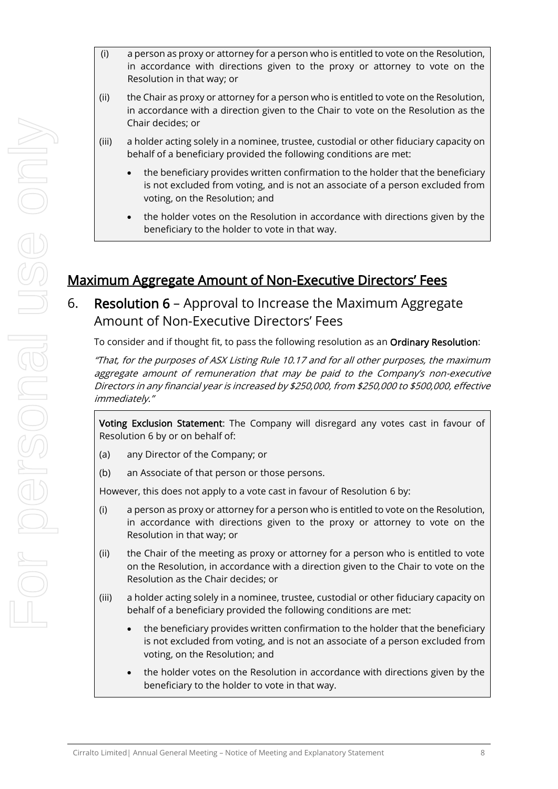- (i) a person as proxy or attorney for a person who is entitled to vote on the Resolution, in accordance with directions given to the proxy or attorney to vote on the Resolution in that way; or
- (ii) the Chair as proxy or attorney for a person who is entitled to vote on the Resolution, in accordance with a direction given to the Chair to vote on the Resolution as the Chair decides; or
- (iii) a holder acting solely in a nominee, trustee, custodial or other fiduciary capacity on behalf of a beneficiary provided the following conditions are met:
	- the beneficiary provides written confirmation to the holder that the beneficiary is not excluded from voting, and is not an associate of a person excluded from voting, on the Resolution; and
	- the holder votes on the Resolution in accordance with directions given by the beneficiary to the holder to vote in that way.

## Maximum Aggregate Amount of Non-Executive Directors' Fees

## 6. Resolution 6 – Approval to Increase the Maximum Aggregate Amount of Non-Executive Directors' Fees

To consider and if thought fit, to pass the following resolution as an Ordinary Resolution:

"That, for the purposes of ASX Listing Rule 10.17 and for all other purposes, the maximum aggregate amount of remuneration that may be paid to the Company's non-executive Directors in any financial year is increased by \$250,000, from \$250,000 to \$500,000, effective immediately."

Voting Exclusion Statement: The Company will disregard any votes cast in favour of Resolution 6 by or on behalf of:

- (a) any Director of the Company; or
- (b) an Associate of that person or those persons.

However, this does not apply to a vote cast in favour of Resolution 6 by:

- (i) a person as proxy or attorney for a person who is entitled to vote on the Resolution, in accordance with directions given to the proxy or attorney to vote on the Resolution in that way; or
- (ii) the Chair of the meeting as proxy or attorney for a person who is entitled to vote on the Resolution, in accordance with a direction given to the Chair to vote on the Resolution as the Chair decides; or
- (iii) a holder acting solely in a nominee, trustee, custodial or other fiduciary capacity on behalf of a beneficiary provided the following conditions are met:
	- the beneficiary provides written confirmation to the holder that the beneficiary is not excluded from voting, and is not an associate of a person excluded from voting, on the Resolution; and
	- the holder votes on the Resolution in accordance with directions given by the beneficiary to the holder to vote in that way.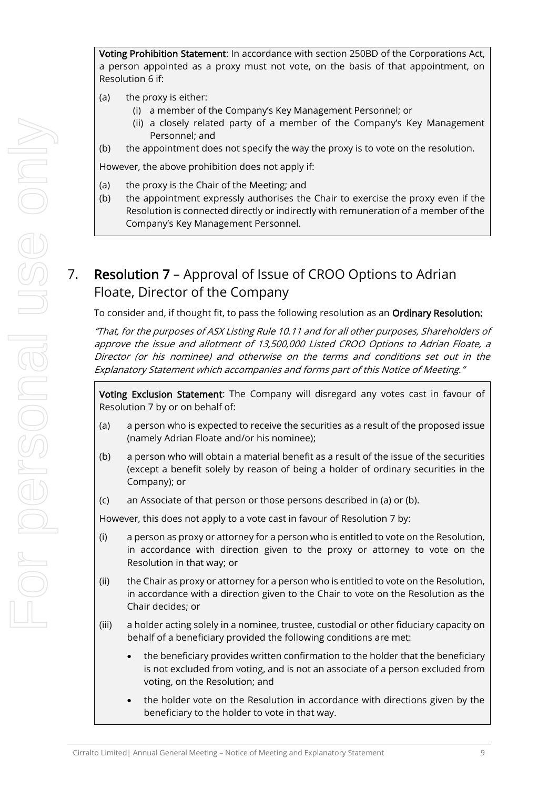Voting Prohibition Statement: In accordance with section 250BD of the Corporations Act, a person appointed as a proxy must not vote, on the basis of that appointment, on Resolution 6 if:

- (a) the proxy is either:
	- (i) a member of the Company's Key Management Personnel; or
	- (ii) a closely related party of a member of the Company's Key Management Personnel; and
- (b) the appointment does not specify the way the proxy is to vote on the resolution.

However, the above prohibition does not apply if:

- (a) the proxy is the Chair of the Meeting; and
- (b) the appointment expressly authorises the Chair to exercise the proxy even if the Resolution is connected directly or indirectly with remuneration of a member of the Company's Key Management Personnel.

## 7. Resolution 7 – Approval of Issue of CROO Options to Adrian Floate, Director of the Company

To consider and, if thought fit, to pass the following resolution as an Ordinary Resolution:

"That, for the purposes of ASX Listing Rule 10.11 and for all other purposes, Shareholders of approve the issue and allotment of 13,500,000 Listed CROO Options to Adrian Floate, <sup>a</sup> Director (or his nominee) and otherwise on the terms and conditions set out in the Explanatory Statement which accompanies and forms part of this Notice of Meeting."

Voting Exclusion Statement: The Company will disregard any votes cast in favour of Resolution 7 by or on behalf of:

- (a) a person who is expected to receive the securities as a result of the proposed issue (namely Adrian Floate and/or his nominee);
- (b) a person who will obtain a material benefit as a result of the issue of the securities (except a benefit solely by reason of being a holder of ordinary securities in the Company); or
- (c) an Associate of that person or those persons described in (a) or (b).

However, this does not apply to a vote cast in favour of Resolution 7 by:

- (i) a person as proxy or attorney for a person who is entitled to vote on the Resolution, in accordance with direction given to the proxy or attorney to vote on the Resolution in that way; or
- (ii) the Chair as proxy or attorney for a person who is entitled to vote on the Resolution, in accordance with a direction given to the Chair to vote on the Resolution as the Chair decides; or
- (iii) a holder acting solely in a nominee, trustee, custodial or other fiduciary capacity on behalf of a beneficiary provided the following conditions are met:
	- the beneficiary provides written confirmation to the holder that the beneficiary is not excluded from voting, and is not an associate of a person excluded from voting, on the Resolution; and
	- the holder vote on the Resolution in accordance with directions given by the beneficiary to the holder to vote in that way.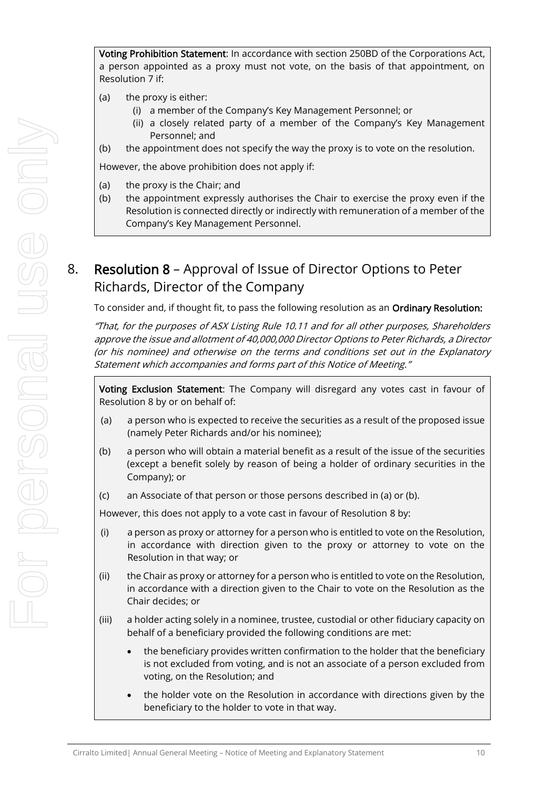Voting Prohibition Statement: In accordance with section 250BD of the Corporations Act, a person appointed as a proxy must not vote, on the basis of that appointment, on Resolution 7 if:

- (a) the proxy is either:
	- (i) a member of the Company's Key Management Personnel; or
	- (ii) a closely related party of a member of the Company's Key Management Personnel; and
- (b) the appointment does not specify the way the proxy is to vote on the resolution.

However, the above prohibition does not apply if:

- (a) the proxy is the Chair; and
- (b) the appointment expressly authorises the Chair to exercise the proxy even if the Resolution is connected directly or indirectly with remuneration of a member of the Company's Key Management Personnel.

## 8. Resolution 8 – Approval of Issue of Director Options to Peter Richards, Director of the Company

To consider and, if thought fit, to pass the following resolution as an Ordinary Resolution:

"That, for the purposes of ASX Listing Rule 10.11 and for all other purposes, Shareholders approve the issue and allotment of 40,000,000 Director Options to Peter Richards, a Director (or his nominee) and otherwise on the terms and conditions set out in the Explanatory Statement which accompanies and forms part of this Notice of Meeting."

Voting Exclusion Statement: The Company will disregard any votes cast in favour of Resolution 8 by or on behalf of:

- (a) a person who is expected to receive the securities as a result of the proposed issue (namely Peter Richards and/or his nominee);
- (b) a person who will obtain a material benefit as a result of the issue of the securities (except a benefit solely by reason of being a holder of ordinary securities in the Company); or
- (c) an Associate of that person or those persons described in (a) or (b).

However, this does not apply to a vote cast in favour of Resolution 8 by:

- (i) a person as proxy or attorney for a person who is entitled to vote on the Resolution, in accordance with direction given to the proxy or attorney to vote on the Resolution in that way; or
- (ii) the Chair as proxy or attorney for a person who is entitled to vote on the Resolution, in accordance with a direction given to the Chair to vote on the Resolution as the Chair decides; or
- (iii) a holder acting solely in a nominee, trustee, custodial or other fiduciary capacity on behalf of a beneficiary provided the following conditions are met:
	- the beneficiary provides written confirmation to the holder that the beneficiary is not excluded from voting, and is not an associate of a person excluded from voting, on the Resolution; and
	- the holder vote on the Resolution in accordance with directions given by the beneficiary to the holder to vote in that way.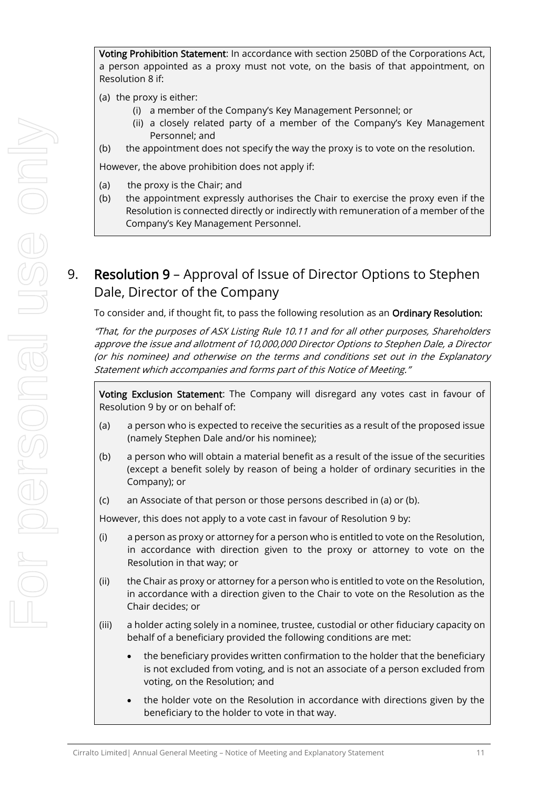Voting Prohibition Statement: In accordance with section 250BD of the Corporations Act, a person appointed as a proxy must not vote, on the basis of that appointment, on Resolution 8 if:

- (a) the proxy is either:
	- (i) a member of the Company's Key Management Personnel; or
	- (ii) a closely related party of a member of the Company's Key Management Personnel; and
- (b) the appointment does not specify the way the proxy is to vote on the resolution.

However, the above prohibition does not apply if:

- (a) the proxy is the Chair; and
- (b) the appointment expressly authorises the Chair to exercise the proxy even if the Resolution is connected directly or indirectly with remuneration of a member of the Company's Key Management Personnel.

## 9. Resolution 9 – Approval of Issue of Director Options to Stephen Dale, Director of the Company

To consider and, if thought fit, to pass the following resolution as an Ordinary Resolution:

"That, for the purposes of ASX Listing Rule 10.11 and for all other purposes, Shareholders approve the issue and allotment of 10,000,000 Director Options to Stephen Dale, a Director (or his nominee) and otherwise on the terms and conditions set out in the Explanatory Statement which accompanies and forms part of this Notice of Meeting."

Voting Exclusion Statement: The Company will disregard any votes cast in favour of Resolution 9 by or on behalf of:

- (a) a person who is expected to receive the securities as a result of the proposed issue (namely Stephen Dale and/or his nominee);
- (b) a person who will obtain a material benefit as a result of the issue of the securities (except a benefit solely by reason of being a holder of ordinary securities in the Company); or
- (c) an Associate of that person or those persons described in (a) or (b).

However, this does not apply to a vote cast in favour of Resolution 9 by:

- (i) a person as proxy or attorney for a person who is entitled to vote on the Resolution, in accordance with direction given to the proxy or attorney to vote on the Resolution in that way; or
- (ii) the Chair as proxy or attorney for a person who is entitled to vote on the Resolution, in accordance with a direction given to the Chair to vote on the Resolution as the Chair decides; or
- (iii) a holder acting solely in a nominee, trustee, custodial or other fiduciary capacity on behalf of a beneficiary provided the following conditions are met:
	- the beneficiary provides written confirmation to the holder that the beneficiary is not excluded from voting, and is not an associate of a person excluded from voting, on the Resolution; and
	- the holder vote on the Resolution in accordance with directions given by the beneficiary to the holder to vote in that way.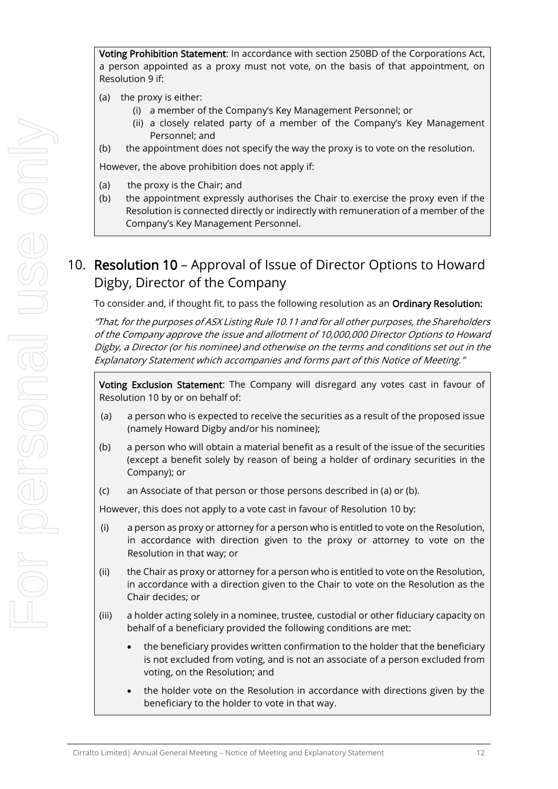Voting Prohibition Statement: In accordance with section 250BD of the Corporations Act, a person appointed as a proxy must not vote, on the basis of that appointment, on Resolution 9 if:

- (a) the proxy is either:
	- (i) a member of the Company's Key Management Personnel; or
	- (ii) a closely related party of a member of the Company's Key Management Personnel; and
- (b) the appointment does not specify the way the proxy is to vote on the resolution.

However, the above prohibition does not apply if:

- (a) the proxy is the Chair; and
- (b) the appointment expressly authorises the Chair to exercise the proxy even if the Resolution is connected directly or indirectly with remuneration of a member of the Company's Key Management Personnel.

## 10. Resolution 10 – Approval of Issue of Director Options to Howard Digby, Director of the Company

To consider and, if thought fit, to pass the following resolution as an Ordinary Resolution:

"That, for the purposes of ASX Listing Rule 10.11 and for all other purposes, the Shareholders of the Company approve the issue and allotment of 10,000,000 Director Options to Howard Digby, a Director (or his nominee) and otherwise on the terms and conditions set out in the Explanatory Statement which accompanies and forms part of this Notice of Meeting."

Voting Exclusion Statement: The Company will disregard any votes cast in favour of Resolution 10 by or on behalf of:

- (a) a person who is expected to receive the securities as a result of the proposed issue (namely Howard Digby and/or his nominee);
- (b) a person who will obtain a material benefit as a result of the issue of the securities (except a benefit solely by reason of being a holder of ordinary securities in the Company); or
- (c) an Associate of that person or those persons described in (a) or (b).

However, this does not apply to a vote cast in favour of Resolution 10 by:

- (i) a person as proxy or attorney for a person who is entitled to vote on the Resolution, in accordance with direction given to the proxy or attorney to vote on the Resolution in that way; or
- (ii) the Chair as proxy or attorney for a person who is entitled to vote on the Resolution, in accordance with a direction given to the Chair to vote on the Resolution as the Chair decides; or
- (iii) a holder acting solely in a nominee, trustee, custodial or other fiduciary capacity on behalf of a beneficiary provided the following conditions are met:
	- the beneficiary provides written confirmation to the holder that the beneficiary is not excluded from voting, and is not an associate of a person excluded from voting, on the Resolution; and
	- the holder vote on the Resolution in accordance with directions given by the beneficiary to the holder to vote in that way.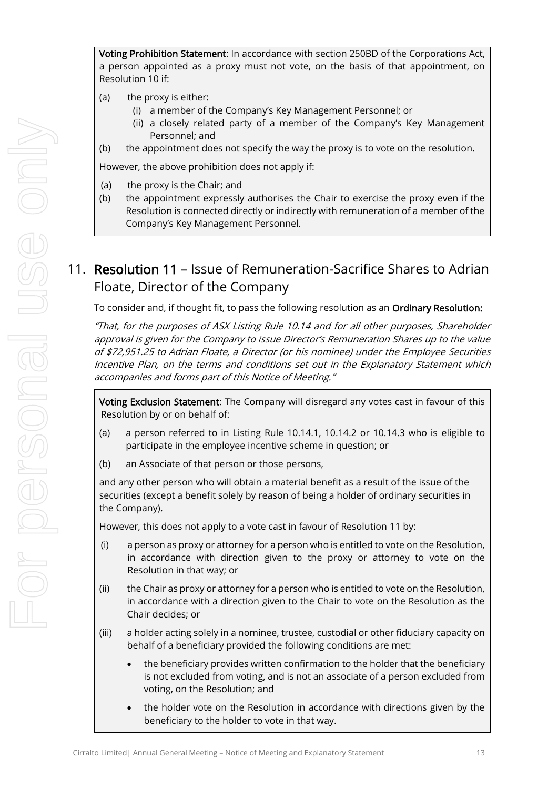Voting Prohibition Statement: In accordance with section 250BD of the Corporations Act, a person appointed as a proxy must not vote, on the basis of that appointment, on Resolution 10 if:

- (a) the proxy is either:
	- (i) a member of the Company's Key Management Personnel; or
	- (ii) a closely related party of a member of the Company's Key Management Personnel; and
- (b) the appointment does not specify the way the proxy is to vote on the resolution.

However, the above prohibition does not apply if:

- (a) the proxy is the Chair; and
- (b) the appointment expressly authorises the Chair to exercise the proxy even if the Resolution is connected directly or indirectly with remuneration of a member of the Company's Key Management Personnel.

## 11. Resolution 11 – Issue of Remuneration-Sacrifice Shares to Adrian Floate, Director of the Company

To consider and, if thought fit, to pass the following resolution as an Ordinary Resolution:

"That, for the purposes of ASX Listing Rule 10.14 and for all other purposes, Shareholder approval is given for the Company to issue Director's Remuneration Shares up to the value of \$72,951.25 to Adrian Floate, a Director (or his nominee) under the Employee Securities Incentive Plan, on the terms and conditions set out in the Explanatory Statement which accompanies and forms part of this Notice of Meeting."

Voting Exclusion Statement: The Company will disregard any votes cast in favour of this Resolution by or on behalf of:

- (a) a person referred to in Listing Rule 10.14.1, 10.14.2 or 10.14.3 who is eligible to participate in the employee incentive scheme in question; or
- (b) an Associate of that person or those persons,

and any other person who will obtain a material benefit as a result of the issue of the securities (except a benefit solely by reason of being a holder of ordinary securities in the Company).

However, this does not apply to a vote cast in favour of Resolution 11 by:

- (i) a person as proxy or attorney for a person who is entitled to vote on the Resolution, in accordance with direction given to the proxy or attorney to vote on the Resolution in that way; or
- (ii) the Chair as proxy or attorney for a person who is entitled to vote on the Resolution, in accordance with a direction given to the Chair to vote on the Resolution as the Chair decides; or
- (iii) a holder acting solely in a nominee, trustee, custodial or other fiduciary capacity on behalf of a beneficiary provided the following conditions are met:
	- the beneficiary provides written confirmation to the holder that the beneficiary is not excluded from voting, and is not an associate of a person excluded from voting, on the Resolution; and
	- the holder vote on the Resolution in accordance with directions given by the beneficiary to the holder to vote in that way.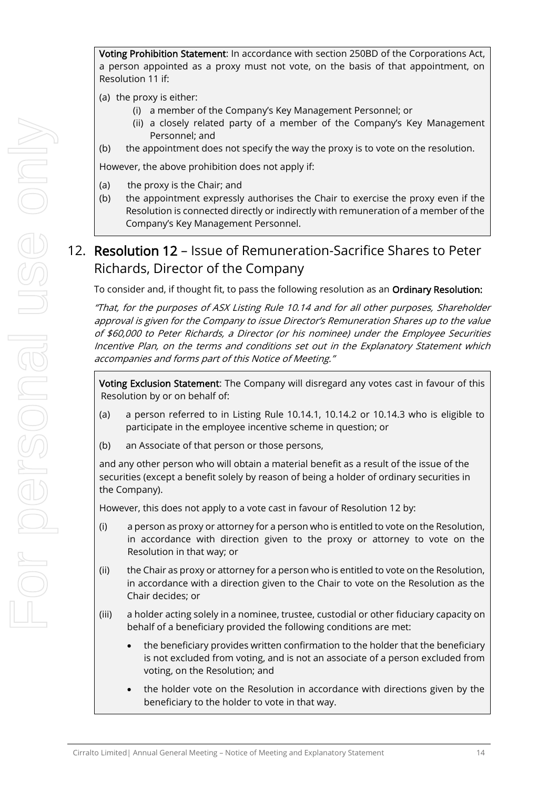Voting Prohibition Statement: In accordance with section 250BD of the Corporations Act, a person appointed as a proxy must not vote, on the basis of that appointment, on Resolution 11 if:

- (a) the proxy is either:
	- (i) a member of the Company's Key Management Personnel; or
	- (ii) a closely related party of a member of the Company's Key Management Personnel; and
- (b) the appointment does not specify the way the proxy is to vote on the resolution.

However, the above prohibition does not apply if:

- (a) the proxy is the Chair; and
- (b) the appointment expressly authorises the Chair to exercise the proxy even if the Resolution is connected directly or indirectly with remuneration of a member of the Company's Key Management Personnel.

## 12. Resolution 12 – Issue of Remuneration-Sacrifice Shares to Peter Richards, Director of the Company

To consider and, if thought fit, to pass the following resolution as an Ordinary Resolution:

"That, for the purposes of ASX Listing Rule 10.14 and for all other purposes, Shareholder approval is given for the Company to issue Director's Remuneration Shares up to the value of \$60,000 to Peter Richards, a Director (or his nominee) under the Employee Securities Incentive Plan, on the terms and conditions set out in the Explanatory Statement which accompanies and forms part of this Notice of Meeting."

Voting Exclusion Statement: The Company will disregard any votes cast in favour of this Resolution by or on behalf of:

- (a) a person referred to in Listing Rule 10.14.1, 10.14.2 or 10.14.3 who is eligible to participate in the employee incentive scheme in question; or
- (b) an Associate of that person or those persons,

and any other person who will obtain a material benefit as a result of the issue of the securities (except a benefit solely by reason of being a holder of ordinary securities in the Company).

However, this does not apply to a vote cast in favour of Resolution 12 by:

- (i) a person as proxy or attorney for a person who is entitled to vote on the Resolution, in accordance with direction given to the proxy or attorney to vote on the Resolution in that way; or
- (ii) the Chair as proxy or attorney for a person who is entitled to vote on the Resolution, in accordance with a direction given to the Chair to vote on the Resolution as the Chair decides; or
- (iii) a holder acting solely in a nominee, trustee, custodial or other fiduciary capacity on behalf of a beneficiary provided the following conditions are met:
	- the beneficiary provides written confirmation to the holder that the beneficiary is not excluded from voting, and is not an associate of a person excluded from voting, on the Resolution; and
	- the holder vote on the Resolution in accordance with directions given by the beneficiary to the holder to vote in that way.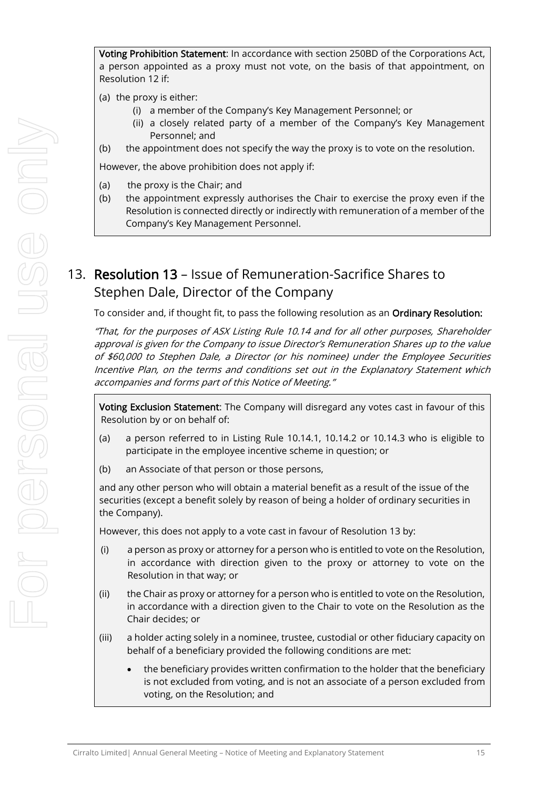Voting Prohibition Statement: In accordance with section 250BD of the Corporations Act, a person appointed as a proxy must not vote, on the basis of that appointment, on Resolution 12 if:

- (a) the proxy is either:
	- (i) a member of the Company's Key Management Personnel; or
	- (ii) a closely related party of a member of the Company's Key Management Personnel; and
- (b) the appointment does not specify the way the proxy is to vote on the resolution.

However, the above prohibition does not apply if:

- (a) the proxy is the Chair; and
- (b) the appointment expressly authorises the Chair to exercise the proxy even if the Resolution is connected directly or indirectly with remuneration of a member of the Company's Key Management Personnel.

## 13. Resolution 13 – Issue of Remuneration-Sacrifice Shares to Stephen Dale, Director of the Company

To consider and, if thought fit, to pass the following resolution as an Ordinary Resolution:

"That, for the purposes of ASX Listing Rule 10.14 and for all other purposes, Shareholder approval is given for the Company to issue Director's Remuneration Shares up to the value of \$60,000 to Stephen Dale, a Director (or his nominee) under the Employee Securities Incentive Plan, on the terms and conditions set out in the Explanatory Statement which accompanies and forms part of this Notice of Meeting."

Voting Exclusion Statement: The Company will disregard any votes cast in favour of this Resolution by or on behalf of:

- (a) a person referred to in Listing Rule 10.14.1, 10.14.2 or 10.14.3 who is eligible to participate in the employee incentive scheme in question; or
- (b) an Associate of that person or those persons,

and any other person who will obtain a material benefit as a result of the issue of the securities (except a benefit solely by reason of being a holder of ordinary securities in the Company).

However, this does not apply to a vote cast in favour of Resolution 13 by:

- (i) a person as proxy or attorney for a person who is entitled to vote on the Resolution, in accordance with direction given to the proxy or attorney to vote on the Resolution in that way; or
- (ii) the Chair as proxy or attorney for a person who is entitled to vote on the Resolution, in accordance with a direction given to the Chair to vote on the Resolution as the Chair decides; or
- (iii) a holder acting solely in a nominee, trustee, custodial or other fiduciary capacity on behalf of a beneficiary provided the following conditions are met:
	- the beneficiary provides written confirmation to the holder that the beneficiary is not excluded from voting, and is not an associate of a person excluded from voting, on the Resolution; and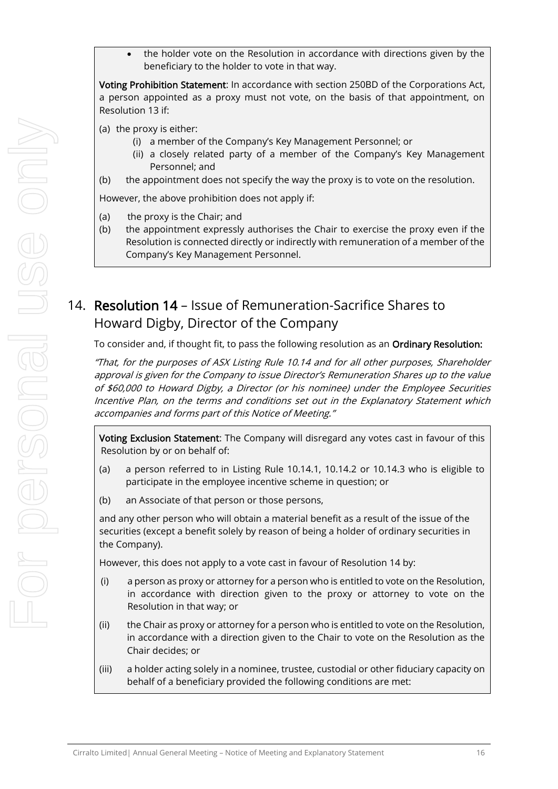• the holder vote on the Resolution in accordance with directions given by the beneficiary to the holder to vote in that way.

Voting Prohibition Statement: In accordance with section 250BD of the Corporations Act, a person appointed as a proxy must not vote, on the basis of that appointment, on Resolution 13 if:

(a) the proxy is either:

- (i) a member of the Company's Key Management Personnel; or
- (ii) a closely related party of a member of the Company's Key Management Personnel; and
- (b) the appointment does not specify the way the proxy is to vote on the resolution.

However, the above prohibition does not apply if:

- (a) the proxy is the Chair; and
- (b) the appointment expressly authorises the Chair to exercise the proxy even if the Resolution is connected directly or indirectly with remuneration of a member of the Company's Key Management Personnel.

## 14. Resolution 14 – Issue of Remuneration-Sacrifice Shares to Howard Digby, Director of the Company

To consider and, if thought fit, to pass the following resolution as an Ordinary Resolution:

"That, for the purposes of ASX Listing Rule 10.14 and for all other purposes, Shareholder approval is given for the Company to issue Director's Remuneration Shares up to the value of \$60,000 to Howard Digby, a Director (or his nominee) under the Employee Securities Incentive Plan, on the terms and conditions set out in the Explanatory Statement which accompanies and forms part of this Notice of Meeting."

Voting Exclusion Statement: The Company will disregard any votes cast in favour of this Resolution by or on behalf of:

- (a) a person referred to in Listing Rule 10.14.1, 10.14.2 or 10.14.3 who is eligible to participate in the employee incentive scheme in question; or
- (b) an Associate of that person or those persons,

and any other person who will obtain a material benefit as a result of the issue of the securities (except a benefit solely by reason of being a holder of ordinary securities in the Company).

However, this does not apply to a vote cast in favour of Resolution 14 by:

- (i) a person as proxy or attorney for a person who is entitled to vote on the Resolution, in accordance with direction given to the proxy or attorney to vote on the Resolution in that way; or
- (ii) the Chair as proxy or attorney for a person who is entitled to vote on the Resolution, in accordance with a direction given to the Chair to vote on the Resolution as the Chair decides; or
- (iii) a holder acting solely in a nominee, trustee, custodial or other fiduciary capacity on behalf of a beneficiary provided the following conditions are met: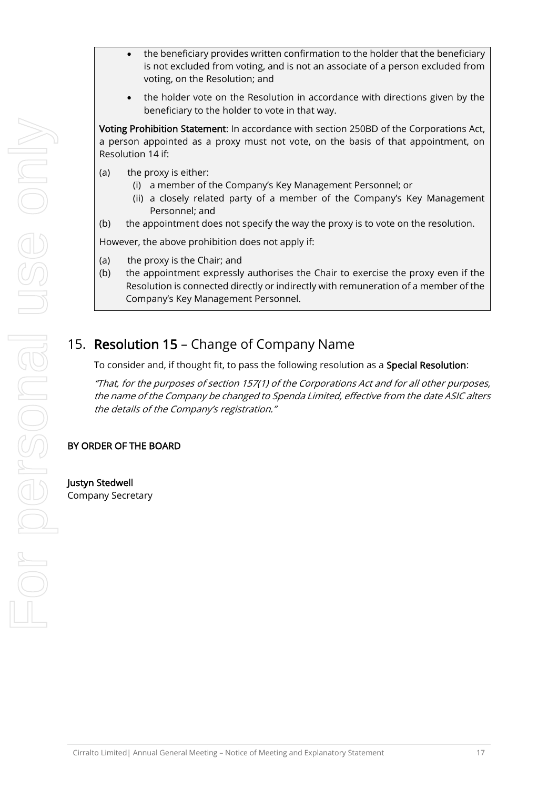- the beneficiary provides written confirmation to the holder that the beneficiary is not excluded from voting, and is not an associate of a person excluded from voting, on the Resolution; and
- the holder vote on the Resolution in accordance with directions given by the beneficiary to the holder to vote in that way.

Voting Prohibition Statement: In accordance with section 250BD of the Corporations Act, a person appointed as a proxy must not vote, on the basis of that appointment, on Resolution 14 if:

- (a) the proxy is either:
	- (i) a member of the Company's Key Management Personnel; or
	- (ii) a closely related party of a member of the Company's Key Management Personnel; and
- (b) the appointment does not specify the way the proxy is to vote on the resolution.

However, the above prohibition does not apply if:

- (a) the proxy is the Chair; and
- (b) the appointment expressly authorises the Chair to exercise the proxy even if the Resolution is connected directly or indirectly with remuneration of a member of the Company's Key Management Personnel.

## <span id="page-16-0"></span>15. Resolution [15](#page-16-0) – Change of Company Name

To consider and, if thought fit, to pass the following resolution as a Special Resolution:

"That, for the purposes of section 157(1) of the Corporations Act and for all other purposes, the name of the Company be changed to Spenda Limited, effective from the date ASIC alters the details of the Company's registration."

#### BY ORDER OF THE BOARD

Justyn Stedwell Company Secretary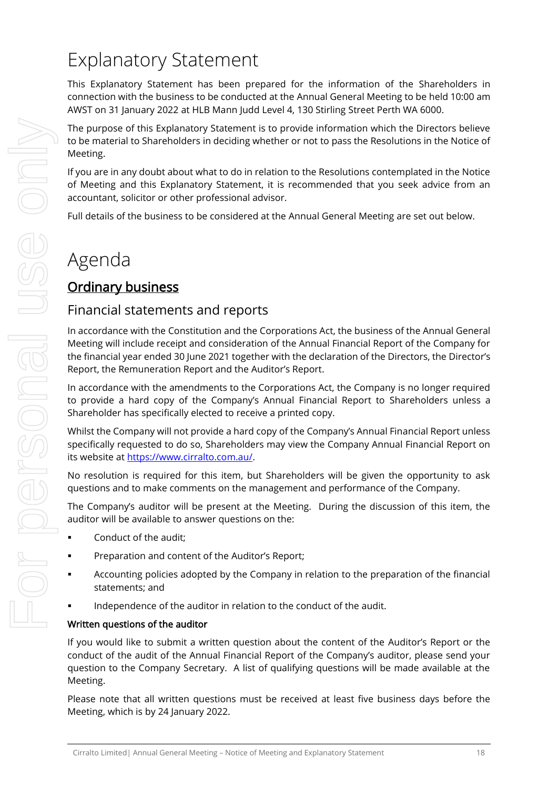## Explanatory Statement

This Explanatory Statement has been prepared for the information of the Shareholders in connection with the business to be conducted at the Annual General Meeting to be held 10:00 am AWST on 31 January 2022 at HLB Mann Judd Level 4, 130 Stirling Street Perth WA 6000.

The purpose of this Explanatory Statement is to provide information which the Directors believe to be material to Shareholders in deciding whether or not to pass the Resolutions in the Notice of Meeting.

If you are in any doubt about what to do in relation to the Resolutions contemplated in the Notice of Meeting and this Explanatory Statement, it is recommended that you seek advice from an accountant, solicitor or other professional advisor.

Full details of the business to be considered at the Annual General Meeting are set out below.

## Agenda

## Ordinary business

### Financial statements and reports

In accordance with the Constitution and the Corporations Act, the business of the Annual General Meeting will include receipt and consideration of the Annual Financial Report of the Company for the financial year ended 30 June 2021 together with the declaration of the Directors, the Director's Report, the Remuneration Report and the Auditor's Report.

In accordance with the amendments to the Corporations Act, the Company is no longer required to provide a hard copy of the Company's Annual Financial Report to Shareholders unless a Shareholder has specifically elected to receive a printed copy.

Whilst the Company will not provide a hard copy of the Company's Annual Financial Report unless specifically requested to do so, Shareholders may view the Company Annual Financial Report on its website at [https://www.cirralto.com.au/.](https://www.cirralto.com.au/)

No resolution is required for this item, but Shareholders will be given the opportunity to ask questions and to make comments on the management and performance of the Company.

The Company's auditor will be present at the Meeting. During the discussion of this item, the auditor will be available to answer questions on the:

- Conduct of the audit:
- **•** Preparation and content of the Auditor's Report;
- Accounting policies adopted by the Company in relation to the preparation of the financial statements; and
- Independence of the auditor in relation to the conduct of the audit.

#### Written questions of the auditor

If you would like to submit a written question about the content of the Auditor's Report or the conduct of the audit of the Annual Financial Report of the Company's auditor, please send your question to the Company Secretary. A list of qualifying questions will be made available at the Meeting.

Please note that all written questions must be received at least five business days before the Meeting, which is by 24 January 2022.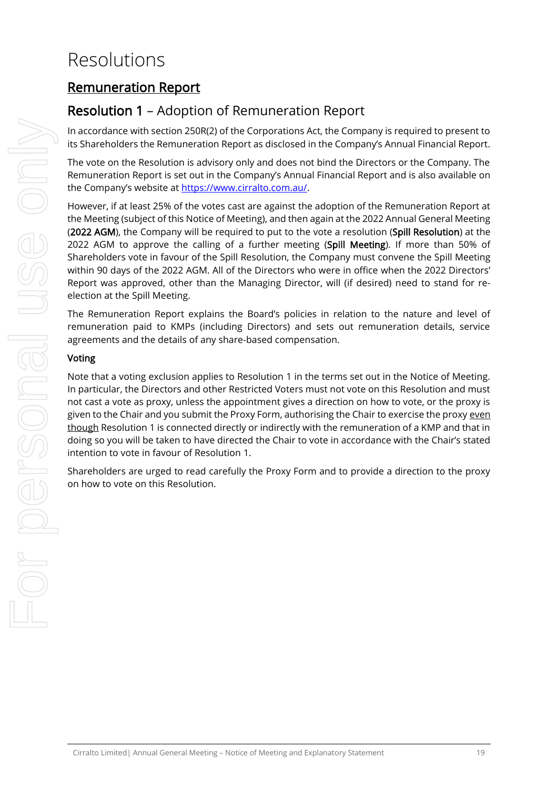## Resolutions

## Remuneration Report

## Resolution [1](#page-4-0) – Adoption of Remuneration Report

In accordance with section 250R(2) of the Corporations Act, the Company is required to present to its Shareholders the Remuneration Report as disclosed in the Company's Annual Financial Report.

The vote on the Resolution is advisory only and does not bind the Directors or the Company. The Remuneration Report is set out in the Company's Annual Financial Report and is also available on the Company's website at [https://www.cirralto.com.au/.](https://www.cirralto.com.au/)

However, if at least 25% of the votes cast are against the adoption of the Remuneration Report at the Meeting (subject of this Notice of Meeting), and then again at the 2022 Annual General Meeting (2022 AGM), the Company will be required to put to the vote a resolution (Spill Resolution) at the 2022 AGM to approve the calling of a further meeting (Spill Meeting). If more than 50% of Shareholders vote in favour of the Spill Resolution, the Company must convene the Spill Meeting within 90 days of the 2022 AGM. All of the Directors who were in office when the 2022 Directors' Report was approved, other than the Managing Director, will (if desired) need to stand for reelection at the Spill Meeting.

The Remuneration Report explains the Board's policies in relation to the nature and level of remuneration paid to KMPs (including Directors) and sets out remuneration details, service agreements and the details of any share-based compensation.

#### Voting

Note that a voting exclusion applies to Resolution [1](#page-4-0) in the terms set out in the Notice of Meeting. In particular, the Directors and other Restricted Voters must not vote on this Resolution and must not cast a vote as proxy, unless the appointment gives a direction on how to vote, or the proxy is given to the Chair and you submit the Proxy Form, authorising the Chair to exercise the proxy even though Resolutio[n 1](#page-4-0) is connected directly or indirectly with the remuneration of a KMP and that in doing so you will be taken to have directed the Chair to vote in accordance with the Chair's stated intention to vote in favour of Resolution [1.](#page-4-0)

Shareholders are urged to read carefully the Proxy Form and to provide a direction to the proxy on how to vote on this Resolution.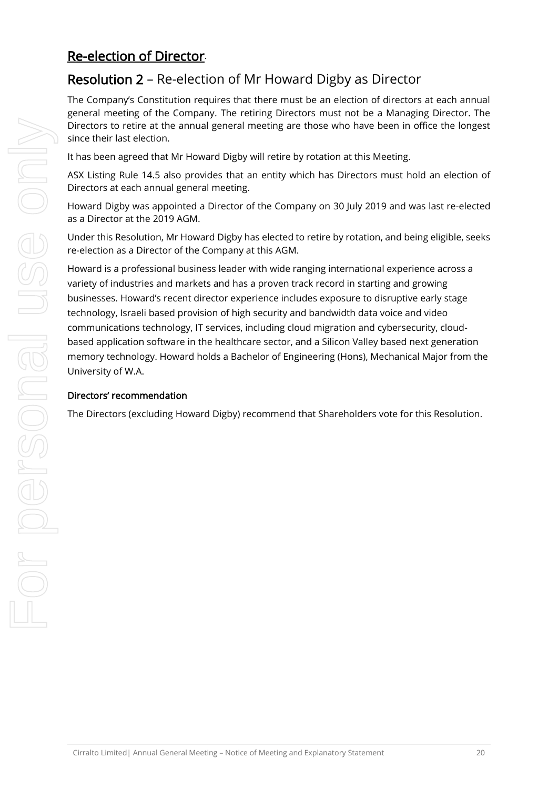## Re-election of Director.

## Resolution 2 – Re-election of Mr Howard Digby as Director

The Company's Constitution requires that there must be an election of directors at each annual general meeting of the Company. The retiring Directors must not be a Managing Director. The Directors to retire at the annual general meeting are those who have been in office the longest since their last election.

It has been agreed that Mr Howard Digby will retire by rotation at this Meeting.

ASX Listing Rule 14.5 also provides that an entity which has Directors must hold an election of Directors at each annual general meeting.

Howard Digby was appointed a Director of the Company on 30 July 2019 and was last re-elected as a Director at the 2019 AGM.

Under this Resolution, Mr Howard Digby has elected to retire by rotation, and being eligible, seeks re-election as a Director of the Company at this AGM.

Howard is a professional business leader with wide ranging international experience across a variety of industries and markets and has a proven track record in starting and growing businesses. Howard's recent director experience includes exposure to disruptive early stage technology, Israeli based provision of high security and bandwidth data voice and video communications technology, IT services, including cloud migration and cybersecurity, cloudbased application software in the healthcare sector, and a Silicon Valley based next generation memory technology. Howard holds a Bachelor of Engineering (Hons), Mechanical Major from the University of W.A.

#### Directors' recommendation

The Directors (excluding Howard Digby) recommend that Shareholders vote for this Resolution.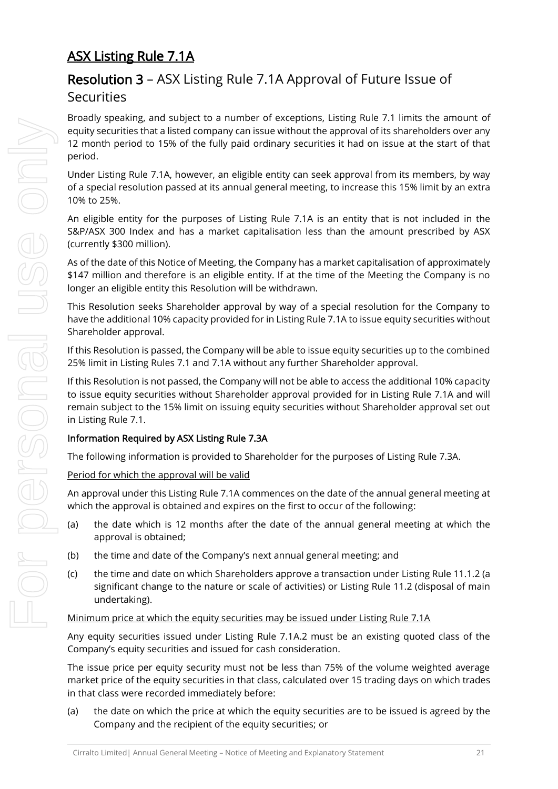## ASX Listing Rule 7.1A

## Resolution 3 – ASX Listing Rule 7.1A Approval of Future Issue of **Securities**

Broadly speaking, and subject to a number of exceptions, Listing Rule 7.1 limits the amount of equity securities that a listed company can issue without the approval of its shareholders over any 12 month period to 15% of the fully paid ordinary securities it had on issue at the start of that period.

Under Listing Rule 7.1A, however, an eligible entity can seek approval from its members, by way of a special resolution passed at its annual general meeting, to increase this 15% limit by an extra 10% to 25%.

An eligible entity for the purposes of Listing Rule 7.1A is an entity that is not included in the S&P/ASX 300 Index and has a market capitalisation less than the amount prescribed by ASX (currently \$300 million).

As of the date of this Notice of Meeting, the Company has a market capitalisation of approximately \$147 million and therefore is an eligible entity. If at the time of the Meeting the Company is no longer an eligible entity this Resolution will be withdrawn.

This Resolution seeks Shareholder approval by way of a special resolution for the Company to have the additional 10% capacity provided for in Listing Rule 7.1A to issue equity securities without Shareholder approval.

If this Resolution is passed, the Company will be able to issue equity securities up to the combined 25% limit in Listing Rules 7.1 and 7.1A without any further Shareholder approval.

If this Resolution is not passed, the Company will not be able to access the additional 10% capacity to issue equity securities without Shareholder approval provided for in Listing Rule 7.1A and will remain subject to the 15% limit on issuing equity securities without Shareholder approval set out in Listing Rule 7.1.

#### Information Required by ASX Listing Rule 7.3A

The following information is provided to Shareholder for the purposes of Listing Rule 7.3A.

#### Period for which the approval will be valid

An approval under this Listing Rule 7.1A commences on the date of the annual general meeting at which the approval is obtained and expires on the first to occur of the following:

- (a) the date which is 12 months after the date of the annual general meeting at which the approval is obtained;
- (b) the time and date of the Company's next annual general meeting; and
- (c) the time and date on which Shareholders approve a transaction under Listing Rule 11.1.2 (a significant change to the nature or scale of activities) or Listing Rule 11.2 (disposal of main undertaking).

#### Minimum price at which the equity securities may be issued under Listing Rule 7.1A

Any equity securities issued under Listing Rule 7.1A.2 must be an existing quoted class of the Company's equity securities and issued for cash consideration.

The issue price per equity security must not be less than 75% of the volume weighted average market price of the equity securities in that class, calculated over 15 trading days on which trades in that class were recorded immediately before:

(a) the date on which the price at which the equity securities are to be issued is agreed by the Company and the recipient of the equity securities; or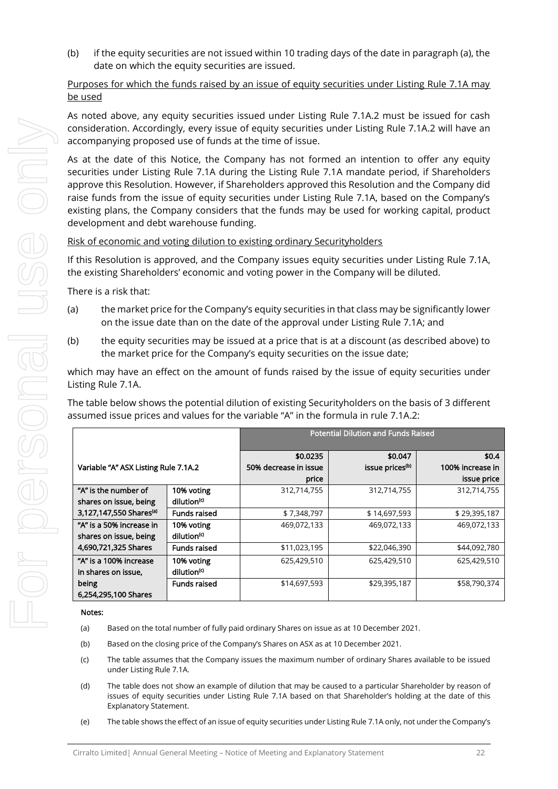(b) if the equity securities are not issued within 10 trading days of the date in paragraph (a), the date on which the equity securities are issued.

#### Purposes for which the funds raised by an issue of equity securities under Listing Rule 7.1A may be used

As noted above, any equity securities issued under Listing Rule 7.1A.2 must be issued for cash consideration. Accordingly, every issue of equity securities under Listing Rule 7.1A.2 will have an accompanying proposed use of funds at the time of issue.

As at the date of this Notice, the Company has not formed an intention to offer any equity securities under Listing Rule 7.1A during the Listing Rule 7.1A mandate period, if Shareholders approve this Resolution. However, if Shareholders approved this Resolution and the Company did raise funds from the issue of equity securities under Listing Rule 7.1A, based on the Company's existing plans, the Company considers that the funds may be used for working capital, product development and debt warehouse funding.

#### Risk of economic and voting dilution to existing ordinary Securityholders

If this Resolution is approved, and the Company issues equity securities under Listing Rule 7.1A, the existing Shareholders' economic and voting power in the Company will be diluted.

There is a risk that:

- (a) the market price for the Company's equity securities in that class may be significantly lower on the issue date than on the date of the approval under Listing Rule 7.1A; and
- (b) the equity securities may be issued at a price that is at a discount (as described above) to the market price for the Company's equity securities on the issue date;

which may have an effect on the amount of funds raised by the issue of equity securities under Listing Rule 7.1A.

The table below shows the potential dilution of existing Securityholders on the basis of 3 different assumed issue prices and values for the variable "A" in the formula in rule 7.1A.2:

|                                      |                         | <b>Potential Dilution and Funds Raised</b> |                             |                  |
|--------------------------------------|-------------------------|--------------------------------------------|-----------------------------|------------------|
|                                      |                         |                                            |                             |                  |
|                                      |                         | \$0.0235                                   | \$0.047                     | \$0.4\$          |
| Variable "A" ASX Listing Rule 7.1A.2 |                         | 50% decrease in issue                      | issue prices <sup>(b)</sup> | 100% increase in |
|                                      |                         | price                                      |                             | issue price      |
| "A" is the number of                 | 10% voting              | 312,714,755                                | 312,714,755                 | 312,714,755      |
| shares on issue, being               | dilution <sup>(c)</sup> |                                            |                             |                  |
| 3,127,147,550 Shares <sup>(a)</sup>  | Funds raised            | \$7,348,797                                | \$14,697,593                | \$29,395,187     |
| "A" is a 50% increase in             | 10% voting              | 469,072,133                                | 469,072,133                 | 469,072,133      |
| shares on issue, being               | dilution <sup>(c)</sup> |                                            |                             |                  |
| 4,690,721,325 Shares                 | <b>Funds raised</b>     | \$11,023,195                               | \$22,046,390                | \$44,092,780     |
| "A" is a 100% increase               | 10% voting              | 625,429,510                                | 625,429,510                 | 625,429,510      |
| in shares on issue,                  | dilution <sup>(c)</sup> |                                            |                             |                  |
| being                                | Funds raised            | \$14,697,593                               | \$29,395,187                | \$58,790,374     |
| 6,254,295,100 Shares                 |                         |                                            |                             |                  |

Notes:

- (a) Based on the total number of fully paid ordinary Shares on issue as at 10 December 2021.
- (b) Based on the closing price of the Company's Shares on ASX as at 10 December 2021.
- (c) The table assumes that the Company issues the maximum number of ordinary Shares available to be issued under Listing Rule 7.1A.
- (d) The table does not show an example of dilution that may be caused to a particular Shareholder by reason of issues of equity securities under Listing Rule 7.1A based on that Shareholder's holding at the date of this Explanatory Statement.
- (e) The table shows the effect of an issue of equity securities under Listing Rule 7.1A only, not under the Company's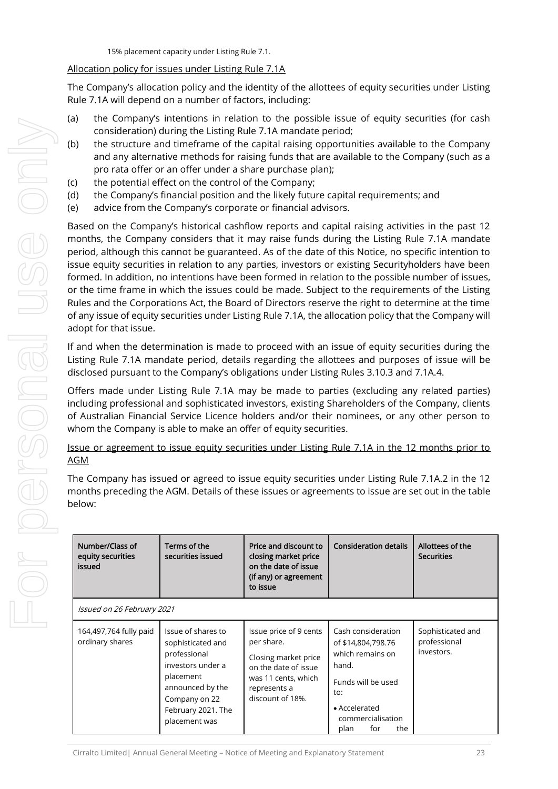15% placement capacity under Listing Rule 7.1.

#### Allocation policy for issues under Listing Rule 7.1A

The Company's allocation policy and the identity of the allottees of equity securities under Listing Rule 7.1A will depend on a number of factors, including:

- (a) the Company's intentions in relation to the possible issue of equity securities (for cash consideration) during the Listing Rule 7.1A mandate period;
- (b) the structure and timeframe of the capital raising opportunities available to the Company and any alternative methods for raising funds that are available to the Company (such as a pro rata offer or an offer under a share purchase plan);
- (c) the potential effect on the control of the Company;
- (d) the Company's financial position and the likely future capital requirements; and
- (e) advice from the Company's corporate or financial advisors.

Based on the Company's historical cashflow reports and capital raising activities in the past 12 months, the Company considers that it may raise funds during the Listing Rule 7.1A mandate period, although this cannot be guaranteed. As of the date of this Notice, no specific intention to issue equity securities in relation to any parties, investors or existing Securityholders have been formed. In addition, no intentions have been formed in relation to the possible number of issues, or the time frame in which the issues could be made. Subject to the requirements of the Listing Rules and the Corporations Act, the Board of Directors reserve the right to determine at the time of any issue of equity securities under Listing Rule 7.1A, the allocation policy that the Company will adopt for that issue.

If and when the determination is made to proceed with an issue of equity securities during the Listing Rule 7.1A mandate period, details regarding the allottees and purposes of issue will be disclosed pursuant to the Company's obligations under Listing Rules 3.10.3 and 7.1A.4.

Offers made under Listing Rule 7.1A may be made to parties (excluding any related parties) including professional and sophisticated investors, existing Shareholders of the Company, clients of Australian Financial Service Licence holders and/or their nominees, or any other person to whom the Company is able to make an offer of equity securities.

Issue or agreement to issue equity securities under Listing Rule 7.1A in the 12 months prior to AGM

The Company has issued or agreed to issue equity securities under Listing Rule 7.1A.2 in the 12 months preceding the AGM. Details of these issues or agreements to issue are set out in the table below:

| Number/Class of<br>equity securities<br>issued | Terms of the<br>securities issued                                                                                                                                     | Price and discount to<br>closing market price<br>on the date of issue<br>(if any) or agreement<br>to issue                                      | <b>Consideration details</b>                                                                                                                                   | Allottees of the<br><b>Securities</b>           |
|------------------------------------------------|-----------------------------------------------------------------------------------------------------------------------------------------------------------------------|-------------------------------------------------------------------------------------------------------------------------------------------------|----------------------------------------------------------------------------------------------------------------------------------------------------------------|-------------------------------------------------|
| Issued on 26 February 2021                     |                                                                                                                                                                       |                                                                                                                                                 |                                                                                                                                                                |                                                 |
| 164,497,764 fully paid<br>ordinary shares      | Issue of shares to<br>sophisticated and<br>professional<br>investors under a<br>placement<br>announced by the<br>Company on 22<br>February 2021. The<br>placement was | Issue price of 9 cents<br>per share.<br>Closing market price<br>on the date of issue<br>was 11 cents, which<br>represents a<br>discount of 18%. | Cash consideration<br>of \$14,804,798.76<br>which remains on<br>hand.<br>Funds will be used<br>to:<br>• Accelerated<br>commercialisation<br>the<br>for<br>plan | Sophisticated and<br>professional<br>investors. |

Cirralto Limited| Annual General Meeting – Notice of Meeting and Explanatory Statement 23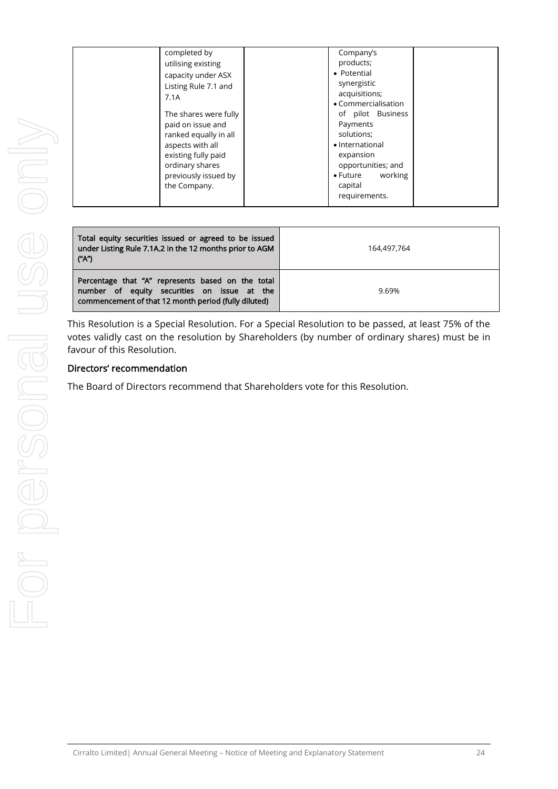| completed by<br>Company's<br>products;<br>utilising existing<br>• Potential<br>capacity under ASX<br>synergistic<br>Listing Rule 7.1 and<br>acquisitions;<br>7.1A<br>• Commercialisation<br>of pilot Business<br>The shares were fully<br>Payments<br>paid on issue and<br>solutions;<br>ranked equally in all<br>• International<br>aspects with all<br>existing fully paid<br>expansion<br>ordinary shares<br>opportunities; and<br>working<br>$\bullet$ Future<br>previously issued by<br>capital<br>the Company.<br>requirements. |  |  |  |
|---------------------------------------------------------------------------------------------------------------------------------------------------------------------------------------------------------------------------------------------------------------------------------------------------------------------------------------------------------------------------------------------------------------------------------------------------------------------------------------------------------------------------------------|--|--|--|
|                                                                                                                                                                                                                                                                                                                                                                                                                                                                                                                                       |  |  |  |

| Total equity securities issued or agreed to be issued<br>under Listing Rule 7.1A.2 in the 12 months prior to AGM<br>("A")                                | 164,497,764 |
|----------------------------------------------------------------------------------------------------------------------------------------------------------|-------------|
| Percentage that "A" represents based on the total<br>number of equity securities on issue at the<br>commencement of that 12 month period (fully diluted) | 9.69%       |

This Resolution is a Special Resolution. For a Special Resolution to be passed, at least 75% of the votes validly cast on the resolution by Shareholders (by number of ordinary shares) must be in favour of this Resolution.

#### Directors' recommendation

The Board of Directors recommend that Shareholders vote for this Resolution.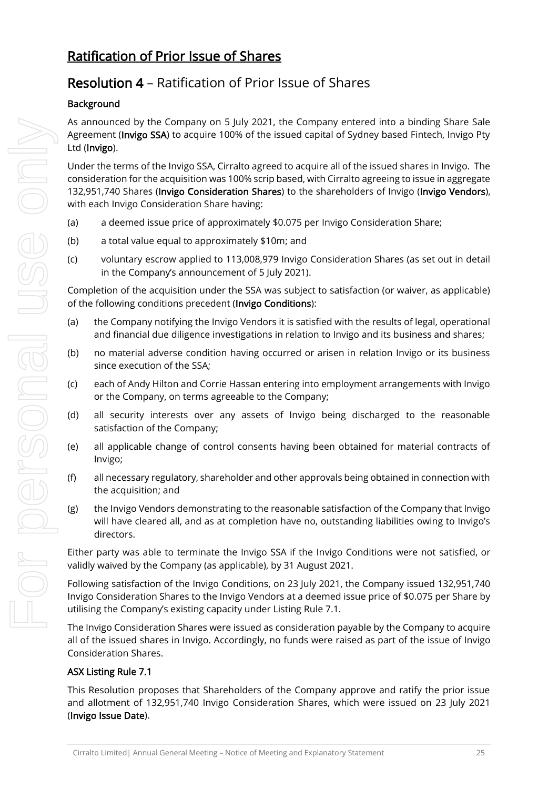## Ratification of Prior Issue of Shares

## Resolution 4 – Ratification of Prior Issue of Shares

#### **Background**

As announced by the Company on 5 July 2021, the Company entered into a binding Share Sale Agreement (Invigo SSA) to acquire 100% of the issued capital of Sydney based Fintech, Invigo Pty Ltd (Invigo).

Under the terms of the Invigo SSA, Cirralto agreed to acquire all of the issued shares in Invigo. The consideration for the acquisition was 100% scrip based, with Cirralto agreeing to issue in aggregate 132,951,740 Shares (Invigo Consideration Shares) to the shareholders of Invigo (Invigo Vendors), with each Invigo Consideration Share having:

- (a) a deemed issue price of approximately \$0.075 per Invigo Consideration Share;
- (b) a total value equal to approximately \$10m; and
- (c) voluntary escrow applied to 113,008,979 Invigo Consideration Shares (as set out in detail in the Company's announcement of 5 July 2021).

Completion of the acquisition under the SSA was subject to satisfaction (or waiver, as applicable) of the following conditions precedent (Invigo Conditions):

- (a) the Company notifying the Invigo Vendors it is satisfied with the results of legal, operational and financial due diligence investigations in relation to Invigo and its business and shares;
- (b) no material adverse condition having occurred or arisen in relation Invigo or its business since execution of the SSA;
- (c) each of Andy Hilton and Corrie Hassan entering into employment arrangements with Invigo or the Company, on terms agreeable to the Company;
- (d) all security interests over any assets of Invigo being discharged to the reasonable satisfaction of the Company;
- (e) all applicable change of control consents having been obtained for material contracts of Invigo;
- (f) all necessary regulatory, shareholder and other approvals being obtained in connection with the acquisition; and
- (g) the Invigo Vendors demonstrating to the reasonable satisfaction of the Company that Invigo will have cleared all, and as at completion have no, outstanding liabilities owing to Invigo's directors.

Either party was able to terminate the Invigo SSA if the Invigo Conditions were not satisfied, or validly waived by the Company (as applicable), by 31 August 2021.

Following satisfaction of the Invigo Conditions, on 23 July 2021, the Company issued 132,951,740 Invigo Consideration Shares to the Invigo Vendors at a deemed issue price of \$0.075 per Share by utilising the Company's existing capacity under Listing Rule 7.1.

The Invigo Consideration Shares were issued as consideration payable by the Company to acquire all of the issued shares in Invigo. Accordingly, no funds were raised as part of the issue of Invigo Consideration Shares.

#### ASX Listing Rule 7.1

This Resolution proposes that Shareholders of the Company approve and ratify the prior issue and allotment of 132,951,740 Invigo Consideration Shares, which were issued on 23 July 2021 (Invigo Issue Date).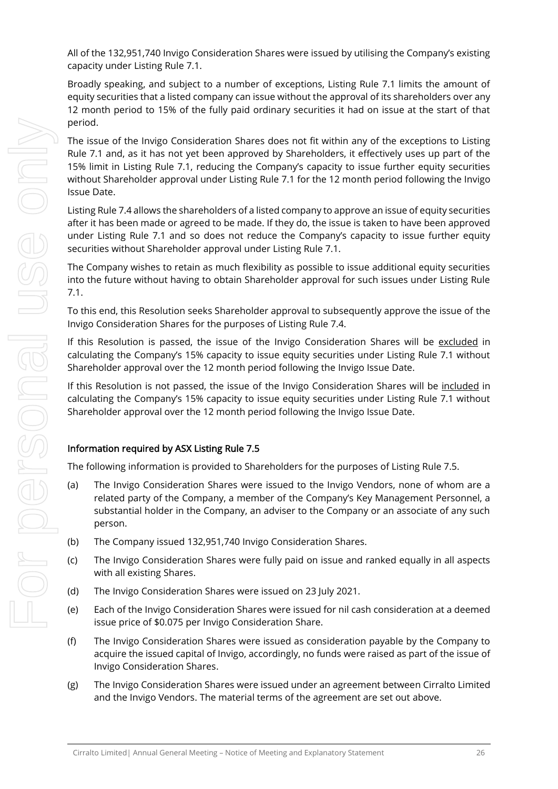All of the 132,951,740 Invigo Consideration Shares were issued by utilising the Company's existing capacity under Listing Rule 7.1.

Broadly speaking, and subject to a number of exceptions, Listing Rule 7.1 limits the amount of equity securities that a listed company can issue without the approval of its shareholders over any 12 month period to 15% of the fully paid ordinary securities it had on issue at the start of that period.

The issue of the Invigo Consideration Shares does not fit within any of the exceptions to Listing Rule 7.1 and, as it has not yet been approved by Shareholders, it effectively uses up part of the 15% limit in Listing Rule 7.1, reducing the Company's capacity to issue further equity securities without Shareholder approval under Listing Rule 7.1 for the 12 month period following the Invigo Issue Date.

Listing Rule 7.4 allows the shareholders of a listed company to approve an issue of equity securities after it has been made or agreed to be made. If they do, the issue is taken to have been approved under Listing Rule 7.1 and so does not reduce the Company's capacity to issue further equity securities without Shareholder approval under Listing Rule 7.1.

The Company wishes to retain as much flexibility as possible to issue additional equity securities into the future without having to obtain Shareholder approval for such issues under Listing Rule 7.1.

To this end, this Resolution seeks Shareholder approval to subsequently approve the issue of the Invigo Consideration Shares for the purposes of Listing Rule 7.4.

If this Resolution is passed, the issue of the Invigo Consideration Shares will be excluded in calculating the Company's 15% capacity to issue equity securities under Listing Rule 7.1 without Shareholder approval over the 12 month period following the Invigo Issue Date.

If this Resolution is not passed, the issue of the Invigo Consideration Shares will be included in calculating the Company's 15% capacity to issue equity securities under Listing Rule 7.1 without Shareholder approval over the 12 month period following the Invigo Issue Date.

#### Information required by ASX Listing Rule 7.5

The following information is provided to Shareholders for the purposes of Listing Rule 7.5.

- (a) The Invigo Consideration Shares were issued to the Invigo Vendors, none of whom are a related party of the Company, a member of the Company's Key Management Personnel, a substantial holder in the Company, an adviser to the Company or an associate of any such person.
- (b) The Company issued 132,951,740 Invigo Consideration Shares.
- (c) The Invigo Consideration Shares were fully paid on issue and ranked equally in all aspects with all existing Shares.
- (d) The Invigo Consideration Shares were issued on 23 July 2021.
- (e) Each of the Invigo Consideration Shares were issued for nil cash consideration at a deemed issue price of \$0.075 per Invigo Consideration Share.
- (f) The Invigo Consideration Shares were issued as consideration payable by the Company to acquire the issued capital of Invigo, accordingly, no funds were raised as part of the issue of Invigo Consideration Shares.
- (g) The Invigo Consideration Shares were issued under an agreement between Cirralto Limited and the Invigo Vendors. The material terms of the agreement are set out above.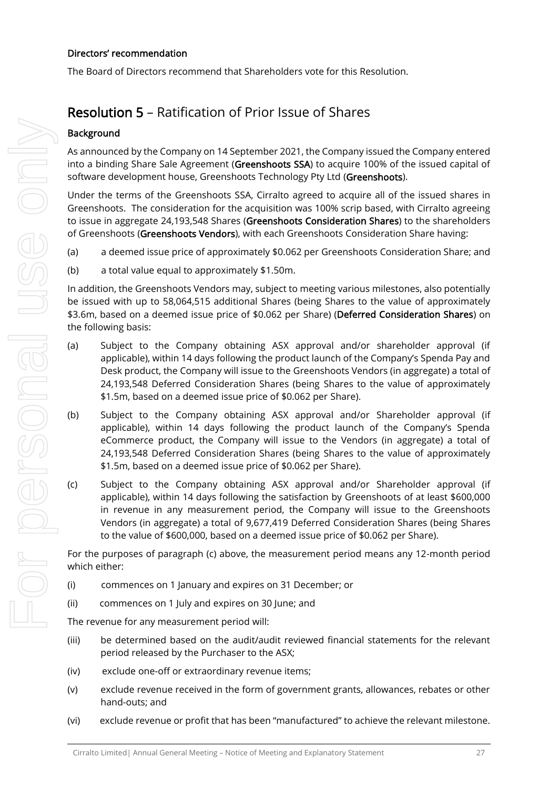#### Directors' recommendation

The Board of Directors recommend that Shareholders vote for this Resolution.

## Resolution 5 – Ratification of Prior Issue of Shares

#### **Background**

As announced by the Company on 14 September 2021, the Company issued the Company entered into a binding Share Sale Agreement (Greenshoots SSA) to acquire 100% of the issued capital of software development house, Greenshoots Technology Pty Ltd (Greenshoots).

Under the terms of the Greenshoots SSA, Cirralto agreed to acquire all of the issued shares in Greenshoots. The consideration for the acquisition was 100% scrip based, with Cirralto agreeing to issue in aggregate 24,193,548 Shares (Greenshoots Consideration Shares) to the shareholders of Greenshoots (Greenshoots Vendors), with each Greenshoots Consideration Share having:

- (a) a deemed issue price of approximately \$0.062 per Greenshoots Consideration Share; and
- (b) a total value equal to approximately \$1.50m.

In addition, the Greenshoots Vendors may, subject to meeting various milestones, also potentially be issued with up to 58,064,515 additional Shares (being Shares to the value of approximately \$3.6m, based on a deemed issue price of \$0.062 per Share) (Deferred Consideration Shares) on the following basis:

- (a) Subject to the Company obtaining ASX approval and/or shareholder approval (if applicable), within 14 days following the product launch of the Company's Spenda Pay and Desk product, the Company will issue to the Greenshoots Vendors (in aggregate) a total of 24,193,548 Deferred Consideration Shares (being Shares to the value of approximately \$1.5m, based on a deemed issue price of \$0.062 per Share).
- (b) Subject to the Company obtaining ASX approval and/or Shareholder approval (if applicable), within 14 days following the product launch of the Company's Spenda eCommerce product, the Company will issue to the Vendors (in aggregate) a total of 24,193,548 Deferred Consideration Shares (being Shares to the value of approximately \$1.5m, based on a deemed issue price of \$0.062 per Share).
- (c) Subject to the Company obtaining ASX approval and/or Shareholder approval (if applicable), within 14 days following the satisfaction by Greenshoots of at least \$600,000 in revenue in any measurement period, the Company will issue to the Greenshoots Vendors (in aggregate) a total of 9,677,419 Deferred Consideration Shares (being Shares to the value of \$600,000, based on a deemed issue price of \$0.062 per Share).

For the purposes of paragraph (c) above, the measurement period means any 12-month period which either:

- (i) commences on 1 January and expires on 31 December; or
- (ii) commences on 1 July and expires on 30 June; and

The revenue for any measurement period will:

- (iii) be determined based on the audit/audit reviewed financial statements for the relevant period released by the Purchaser to the ASX;
- (iv) exclude one-off or extraordinary revenue items;
- (v) exclude revenue received in the form of government grants, allowances, rebates or other hand-outs; and
- (vi) exclude revenue or profit that has been "manufactured" to achieve the relevant milestone.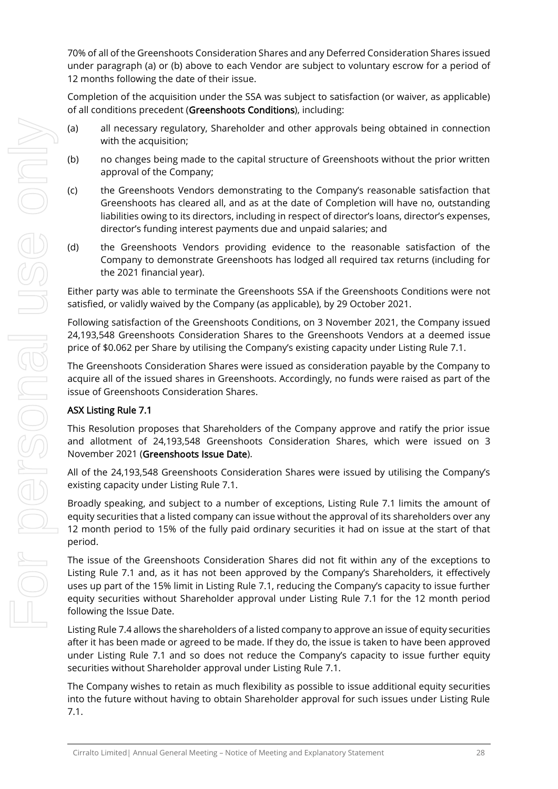70% of all of the Greenshoots Consideration Shares and any Deferred Consideration Shares issued under paragraph (a) or (b) above to each Vendor are subject to voluntary escrow for a period of 12 months following the date of their issue.

Completion of the acquisition under the SSA was subject to satisfaction (or waiver, as applicable) of all conditions precedent (Greenshoots Conditions), including:

- (a) all necessary regulatory, Shareholder and other approvals being obtained in connection with the acquisition;
- (b) no changes being made to the capital structure of Greenshoots without the prior written approval of the Company;
- (c) the Greenshoots Vendors demonstrating to the Company's reasonable satisfaction that Greenshoots has cleared all, and as at the date of Completion will have no, outstanding liabilities owing to its directors, including in respect of director's loans, director's expenses, director's funding interest payments due and unpaid salaries; and
- (d) the Greenshoots Vendors providing evidence to the reasonable satisfaction of the Company to demonstrate Greenshoots has lodged all required tax returns (including for the 2021 financial year).

Either party was able to terminate the Greenshoots SSA if the Greenshoots Conditions were not satisfied, or validly waived by the Company (as applicable), by 29 October 2021.

Following satisfaction of the Greenshoots Conditions, on 3 November 2021, the Company issued 24,193,548 Greenshoots Consideration Shares to the Greenshoots Vendors at a deemed issue price of \$0.062 per Share by utilising the Company's existing capacity under Listing Rule 7.1.

The Greenshoots Consideration Shares were issued as consideration payable by the Company to acquire all of the issued shares in Greenshoots. Accordingly, no funds were raised as part of the issue of Greenshoots Consideration Shares.

#### ASX Listing Rule 7.1

This Resolution proposes that Shareholders of the Company approve and ratify the prior issue and allotment of 24,193,548 Greenshoots Consideration Shares, which were issued on 3 November 2021 (Greenshoots Issue Date).

All of the 24,193,548 Greenshoots Consideration Shares were issued by utilising the Company's existing capacity under Listing Rule 7.1.

Broadly speaking, and subject to a number of exceptions, Listing Rule 7.1 limits the amount of equity securities that a listed company can issue without the approval of its shareholders over any 12 month period to 15% of the fully paid ordinary securities it had on issue at the start of that period.

The issue of the Greenshoots Consideration Shares did not fit within any of the exceptions to Listing Rule 7.1 and, as it has not been approved by the Company's Shareholders, it effectively uses up part of the 15% limit in Listing Rule 7.1, reducing the Company's capacity to issue further equity securities without Shareholder approval under Listing Rule 7.1 for the 12 month period following the Issue Date.

Listing Rule 7.4 allows the shareholders of a listed company to approve an issue of equity securities after it has been made or agreed to be made. If they do, the issue is taken to have been approved under Listing Rule 7.1 and so does not reduce the Company's capacity to issue further equity securities without Shareholder approval under Listing Rule 7.1.

The Company wishes to retain as much flexibility as possible to issue additional equity securities into the future without having to obtain Shareholder approval for such issues under Listing Rule 7.1.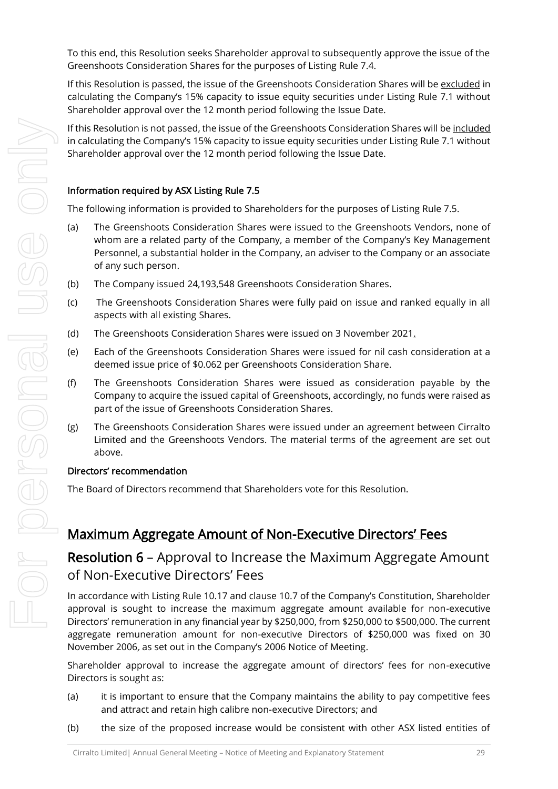To this end, this Resolution seeks Shareholder approval to subsequently approve the issue of the Greenshoots Consideration Shares for the purposes of Listing Rule 7.4.

If this Resolution is passed, the issue of the Greenshoots Consideration Shares will be excluded in calculating the Company's 15% capacity to issue equity securities under Listing Rule 7.1 without Shareholder approval over the 12 month period following the Issue Date.

If this Resolution is not passed, the issue of the Greenshoots Consideration Shares will be included in calculating the Company's 15% capacity to issue equity securities under Listing Rule 7.1 without Shareholder approval over the 12 month period following the Issue Date.

#### Information required by ASX Listing Rule 7.5

The following information is provided to Shareholders for the purposes of Listing Rule 7.5.

- (a) The Greenshoots Consideration Shares were issued to the Greenshoots Vendors, none of whom are a related party of the Company, a member of the Company's Key Management Personnel, a substantial holder in the Company, an adviser to the Company or an associate of any such person.
- (b) The Company issued 24,193,548 Greenshoots Consideration Shares.
- (c) The Greenshoots Consideration Shares were fully paid on issue and ranked equally in all aspects with all existing Shares.
- (d) The Greenshoots Consideration Shares were issued on 3 November 2021.
- (e) Each of the Greenshoots Consideration Shares were issued for nil cash consideration at a deemed issue price of \$0.062 per Greenshoots Consideration Share.
- (f) The Greenshoots Consideration Shares were issued as consideration payable by the Company to acquire the issued capital of Greenshoots, accordingly, no funds were raised as part of the issue of Greenshoots Consideration Shares.
- (g) The Greenshoots Consideration Shares were issued under an agreement between Cirralto Limited and the Greenshoots Vendors. The material terms of the agreement are set out above.

#### Directors' recommendation

The Board of Directors recommend that Shareholders vote for this Resolution.

## Maximum Aggregate Amount of Non-Executive Directors' Fees

## Resolution 6 – Approval to Increase the Maximum Aggregate Amount of Non-Executive Directors' Fees

In accordance with Listing Rule 10.17 and clause 10.7 of the Company's Constitution, Shareholder approval is sought to increase the maximum aggregate amount available for non-executive Directors' remuneration in any financial year by \$250,000, from \$250,000 to \$500,000. The current aggregate remuneration amount for non-executive Directors of \$250,000 was fixed on 30 November 2006, as set out in the Company's 2006 Notice of Meeting.

Shareholder approval to increase the aggregate amount of directors' fees for non-executive Directors is sought as:

- (a) it is important to ensure that the Company maintains the ability to pay competitive fees and attract and retain high calibre non-executive Directors; and
- (b) the size of the proposed increase would be consistent with other ASX listed entities of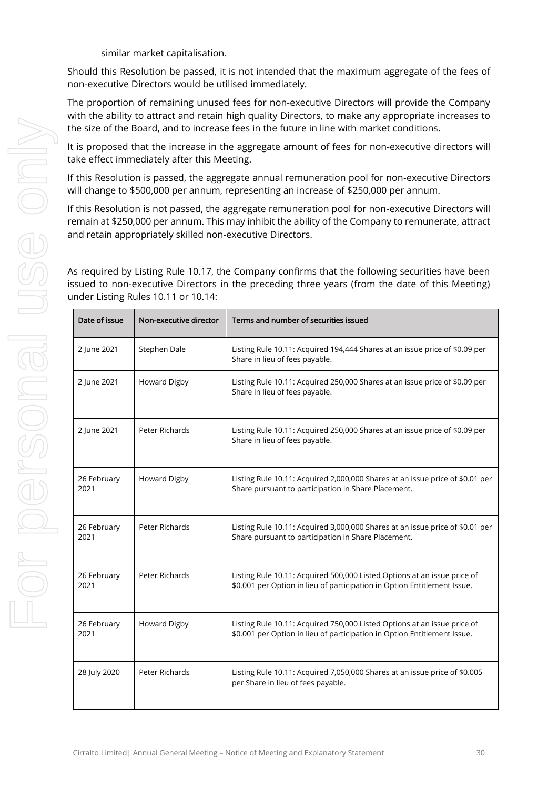similar market capitalisation.

Should this Resolution be passed, it is not intended that the maximum aggregate of the fees of non-executive Directors would be utilised immediately.

The proportion of remaining unused fees for non-executive Directors will provide the Company with the ability to attract and retain high quality Directors, to make any appropriate increases to the size of the Board, and to increase fees in the future in line with market conditions.

It is proposed that the increase in the aggregate amount of fees for non-executive directors will take effect immediately after this Meeting.

If this Resolution is passed, the aggregate annual remuneration pool for non-executive Directors will change to \$500,000 per annum, representing an increase of \$250,000 per annum.

If this Resolution is not passed, the aggregate remuneration pool for non-executive Directors will remain at \$250,000 per annum. This may inhibit the ability of the Company to remunerate, attract and retain appropriately skilled non-executive Directors.

As required by Listing Rule 10.17, the Company confirms that the following securities have been issued to non-executive Directors in the preceding three years (from the date of this Meeting) under Listing Rules 10.11 or 10.14:

| Date of issue       | Non-executive director | Terms and number of securities issued                                                                                                                |
|---------------------|------------------------|------------------------------------------------------------------------------------------------------------------------------------------------------|
| 2 June 2021         | Stephen Dale           | Listing Rule 10.11: Acquired 194,444 Shares at an issue price of \$0.09 per<br>Share in lieu of fees payable.                                        |
| 2 June 2021         | Howard Digby           | Listing Rule 10.11: Acquired 250,000 Shares at an issue price of \$0.09 per<br>Share in lieu of fees payable.                                        |
| 2 June 2021         | Peter Richards         | Listing Rule 10.11: Acquired 250,000 Shares at an issue price of \$0.09 per<br>Share in lieu of fees payable.                                        |
| 26 February<br>2021 | Howard Digby           | Listing Rule 10.11: Acquired 2,000,000 Shares at an issue price of \$0.01 per<br>Share pursuant to participation in Share Placement.                 |
| 26 February<br>2021 | Peter Richards         | Listing Rule 10.11: Acquired 3,000,000 Shares at an issue price of \$0.01 per<br>Share pursuant to participation in Share Placement.                 |
| 26 February<br>2021 | Peter Richards         | Listing Rule 10.11: Acquired 500,000 Listed Options at an issue price of<br>\$0.001 per Option in lieu of participation in Option Entitlement Issue. |
| 26 February<br>2021 | Howard Digby           | Listing Rule 10.11: Acquired 750,000 Listed Options at an issue price of<br>\$0.001 per Option in lieu of participation in Option Entitlement Issue. |
| 28 July 2020        | Peter Richards         | Listing Rule 10.11: Acquired 7,050,000 Shares at an issue price of \$0.005<br>per Share in lieu of fees payable.                                     |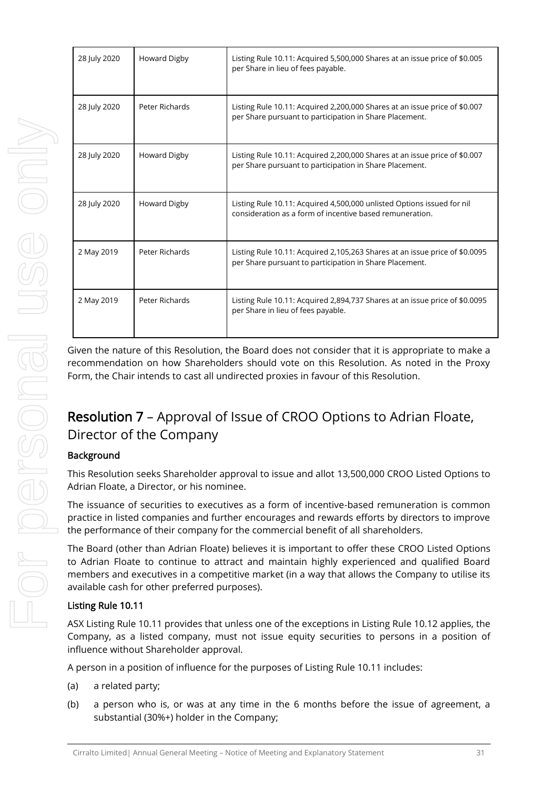| 28 July 2020 | Howard Digby                                                                                                                    | List<br>per |
|--------------|---------------------------------------------------------------------------------------------------------------------------------|-------------|
| 28 July 2020 | Peter Richards                                                                                                                  | List<br>per |
| 28 July 2020 | Howard Digby                                                                                                                    | List<br>per |
| 28 July 2020 | <b>Howard Digby</b>                                                                                                             | List<br>cor |
| 2 May 2019   | Peter Richards                                                                                                                  | List<br>per |
| 2 May 2019   | Peter Richards                                                                                                                  | List<br>per |
|              | Given the nature of this Resolution, the<br>recommendation on how Shareholders<br>Form, the Chair intends to cast all undire    |             |
|              | <b>Resolution 7 - Approval of Iss</b><br>Director of the Company                                                                |             |
| Background   |                                                                                                                                 |             |
|              | This Resolution seeks Shareholder appro<br>Adrian Floate, a Director, or his nominee                                            |             |
|              | The issuance of securities to executives<br>practice in listed companies and further<br>the performance of their company for th |             |
|              | The Board (other than Adrian Floate) he                                                                                         |             |

| 28 July 2020 | Howard Digby   | Listing Rule 10.11: Acquired 5,500,000 Shares at an issue price of \$0.005<br>per Share in lieu of fees payable.                       |
|--------------|----------------|----------------------------------------------------------------------------------------------------------------------------------------|
| 28 July 2020 | Peter Richards | Listing Rule 10.11: Acquired 2,200,000 Shares at an issue price of \$0.007<br>per Share pursuant to participation in Share Placement.  |
| 28 July 2020 | Howard Digby   | Listing Rule 10.11: Acquired 2,200,000 Shares at an issue price of \$0.007<br>per Share pursuant to participation in Share Placement.  |
| 28 July 2020 | Howard Digby   | Listing Rule 10.11: Acquired 4,500,000 unlisted Options issued for nil<br>consideration as a form of incentive based remuneration.     |
| 2 May 2019   | Peter Richards | Listing Rule 10.11: Acquired 2,105,263 Shares at an issue price of \$0.0095<br>per Share pursuant to participation in Share Placement. |
| 2 May 2019   | Peter Richards | Listing Rule 10.11: Acquired 2,894,737 Shares at an issue price of \$0.0095<br>per Share in lieu of fees payable.                      |

H

Board does not consider that it is appropriate to make a should vote on this Resolution. As noted in the Proxy ected proxies in favour of this Resolution.

# sue of CROO Options to Adrian Floate,

oval to issue and allot 13,500,000 CROO Listed Options to Adrian Floate, a Director, or his nominee.

as a form of incentive-based remuneration is common encourages and rewards efforts by directors to improve the commercial benefit of all shareholders.

d (other than Adrian Floate) believes it is important to offer these CROO Listed Options to Adrian Floate to continue to attract and maintain highly experienced and qualified Board members and executives in a competitive market (in a way that allows the Company to utilise its available cash for other preferred purposes).

#### Listing Rule 10.11

ASX Listing Rule 10.11 provides that unless one of the exceptions in Listing Rule 10.12 applies, the Company, as a listed company, must not issue equity securities to persons in a position of influence without Shareholder approval.

A person in a position of influence for the purposes of Listing Rule 10.11 includes:

- (a) a related party;
- (b) a person who is, or was at any time in the 6 months before the issue of agreement, a substantial (30%+) holder in the Company;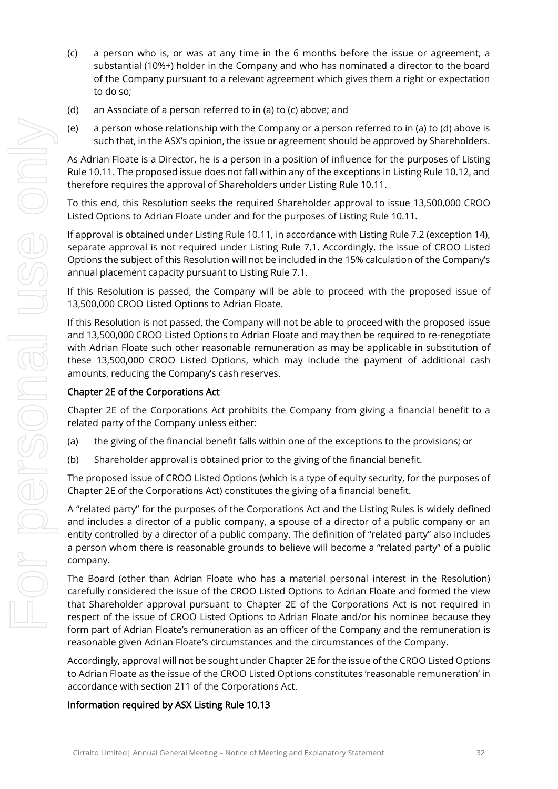- (c) a person who is, or was at any time in the 6 months before the issue or agreement, a substantial (10%+) holder in the Company and who has nominated a director to the board of the Company pursuant to a relevant agreement which gives them a right or expectation to do so;
- (d) an Associate of a person referred to in (a) to (c) above; and
- (e) a person whose relationship with the Company or a person referred to in (a) to (d) above is such that, in the ASX's opinion, the issue or agreement should be approved by Shareholders.

As Adrian Floate is a Director, he is a person in a position of influence for the purposes of Listing Rule 10.11. The proposed issue does not fall within any of the exceptions in Listing Rule 10.12, and therefore requires the approval of Shareholders under Listing Rule 10.11.

To this end, this Resolution seeks the required Shareholder approval to issue 13,500,000 CROO Listed Options to Adrian Floate under and for the purposes of Listing Rule 10.11.

If approval is obtained under Listing Rule 10.11, in accordance with Listing Rule 7.2 (exception 14), separate approval is not required under Listing Rule 7.1. Accordingly, the issue of CROO Listed Options the subject of this Resolution will not be included in the 15% calculation of the Company's annual placement capacity pursuant to Listing Rule 7.1.

If this Resolution is passed, the Company will be able to proceed with the proposed issue of 13,500,000 CROO Listed Options to Adrian Floate.

If this Resolution is not passed, the Company will not be able to proceed with the proposed issue and 13,500,000 CROO Listed Options to Adrian Floate and may then be required to re-renegotiate with Adrian Floate such other reasonable remuneration as may be applicable in substitution of these 13,500,000 CROO Listed Options, which may include the payment of additional cash amounts, reducing the Company's cash reserves.

#### Chapter 2E of the Corporations Act

Chapter 2E of the Corporations Act prohibits the Company from giving a financial benefit to a related party of the Company unless either:

- (a) the giving of the financial benefit falls within one of the exceptions to the provisions; or
- (b) Shareholder approval is obtained prior to the giving of the financial benefit.

The proposed issue of CROO Listed Options (which is a type of equity security, for the purposes of Chapter 2E of the Corporations Act) constitutes the giving of a financial benefit.

A "related party" for the purposes of the Corporations Act and the Listing Rules is widely defined and includes a director of a public company, a spouse of a director of a public company or an entity controlled by a director of a public company. The definition of "related party" also includes a person whom there is reasonable grounds to believe will become a "related party" of a public company.

The Board (other than Adrian Floate who has a material personal interest in the Resolution) carefully considered the issue of the CROO Listed Options to Adrian Floate and formed the view that Shareholder approval pursuant to Chapter 2E of the Corporations Act is not required in respect of the issue of CROO Listed Options to Adrian Floate and/or his nominee because they form part of Adrian Floate's remuneration as an officer of the Company and the remuneration is reasonable given Adrian Floate's circumstances and the circumstances of the Company.

Accordingly, approval will not be sought under Chapter 2E for the issue of the CROO Listed Options to Adrian Floate as the issue of the CROO Listed Options constitutes 'reasonable remuneration' in accordance with section 211 of the Corporations Act.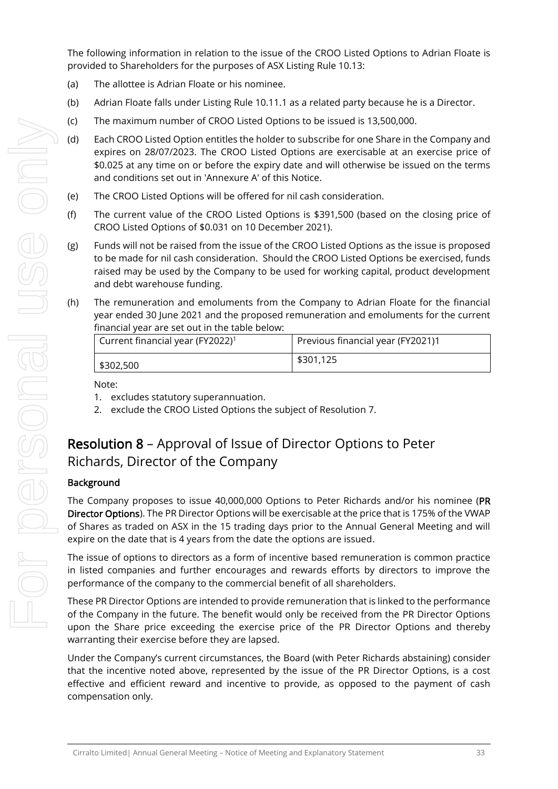The following information in relation to the issue of the CROO Listed Options to Adrian Floate is provided to Shareholders for the purposes of ASX Listing Rule 10.13:

- (a) The allottee is Adrian Floate or his nominee.
- (b) Adrian Floate falls under Listing Rule 10.11.1 as a related party because he is a Director.
- (c) The maximum number of CROO Listed Options to be issued is 13,500,000.
- (d) Each CROO Listed Option entitles the holder to subscribe for one Share in the Company and expires on 28/07/2023. The CROO Listed Options are exercisable at an exercise price of \$0.025 at any time on or before the expiry date and will otherwise be issued on the terms and conditions set out in 'Annexure A' of this Notice.
- (e) The CROO Listed Options will be offered for nil cash consideration.
- (f) The current value of the CROO Listed Options is \$391,500 (based on the closing price of CROO Listed Options of \$0.031 on 10 December 2021).
- (g) Funds will not be raised from the issue of the CROO Listed Options as the issue is proposed to be made for nil cash consideration. Should the CROO Listed Options be exercised, funds raised may be used by the Company to be used for working capital, product development and debt warehouse funding.
- (h) The remuneration and emoluments from the Company to Adrian Floate for the financial year ended 30 June 2021 and the proposed remuneration and emoluments for the current financial year are set out in the table below:

| Current financial year (FY2022) <sup>1</sup> | Previous financial year (FY2021)1 |
|----------------------------------------------|-----------------------------------|
| \$302,500                                    | \$301,125                         |

Note:

- 1. excludes statutory superannuation.
- 2. exclude the CROO Listed Options the subject of Resolution 7.

## Resolution 8 – Approval of Issue of Director Options to Peter Richards, Director of the Company

#### **Background**

The Company proposes to issue 40,000,000 Options to Peter Richards and/or his nominee (PR Director Options). The PR Director Options will be exercisable at the price that is 175% of the VWAP of Shares as traded on ASX in the 15 trading days prior to the Annual General Meeting and will expire on the date that is 4 years from the date the options are issued.

The issue of options to directors as a form of incentive based remuneration is common practice in listed companies and further encourages and rewards efforts by directors to improve the performance of the company to the commercial benefit of all shareholders.

These PR Director Options are intended to provide remuneration that is linked to the performance of the Company in the future. The benefit would only be received from the PR Director Options upon the Share price exceeding the exercise price of the PR Director Options and thereby warranting their exercise before they are lapsed.

Under the Company's current circumstances, the Board (with Peter Richards abstaining) consider that the incentive noted above, represented by the issue of the PR Director Options, is a cost effective and efficient reward and incentive to provide, as opposed to the payment of cash compensation only.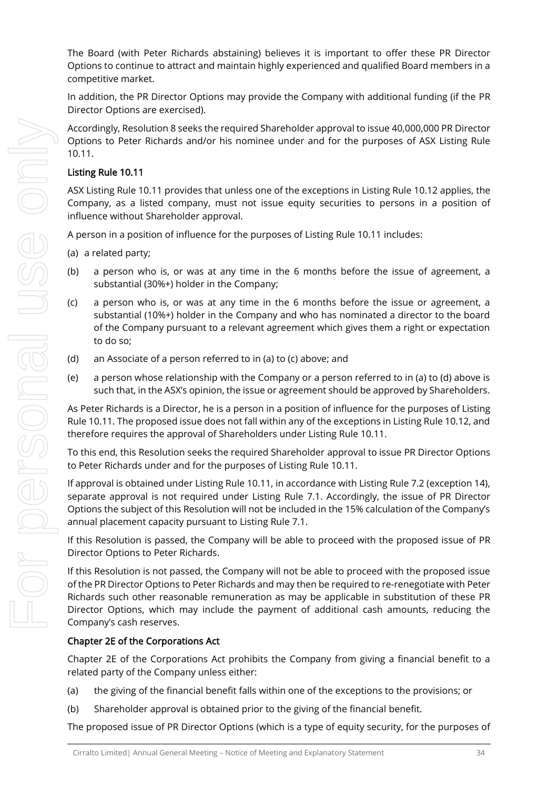The Board (with Peter Richards abstaining) believes it is important to offer these PR Director Options to continue to attract and maintain highly experienced and qualified Board members in a competitive market.

In addition, the PR Director Options may provide the Company with additional funding (if the PR Director Options are exercised).

Accordingly, Resolution 8 seeks the required Shareholder approval to issue 40,000,000 PR Director Options to Peter Richards and/or his nominee under and for the purposes of ASX Listing Rule 10.11.

#### Listing Rule 10.11

ASX Listing Rule 10.11 provides that unless one of the exceptions in Listing Rule 10.12 applies, the Company, as a listed company, must not issue equity securities to persons in a position of influence without Shareholder approval.

A person in a position of influence for the purposes of Listing Rule 10.11 includes:

(a) a related party;

- (b) a person who is, or was at any time in the 6 months before the issue of agreement, a substantial (30%+) holder in the Company;
- (c) a person who is, or was at any time in the 6 months before the issue or agreement, a substantial (10%+) holder in the Company and who has nominated a director to the board of the Company pursuant to a relevant agreement which gives them a right or expectation to do so;
- (d) an Associate of a person referred to in (a) to (c) above; and
- (e) a person whose relationship with the Company or a person referred to in (a) to (d) above is such that, in the ASX's opinion, the issue or agreement should be approved by Shareholders.

As Peter Richards is a Director, he is a person in a position of influence for the purposes of Listing Rule 10.11. The proposed issue does not fall within any of the exceptions in Listing Rule 10.12, and therefore requires the approval of Shareholders under Listing Rule 10.11.

To this end, this Resolution seeks the required Shareholder approval to issue PR Director Options to Peter Richards under and for the purposes of Listing Rule 10.11.

If approval is obtained under Listing Rule 10.11, in accordance with Listing Rule 7.2 (exception 14), separate approval is not required under Listing Rule 7.1. Accordingly, the issue of PR Director Options the subject of this Resolution will not be included in the 15% calculation of the Company's annual placement capacity pursuant to Listing Rule 7.1.

If this Resolution is passed, the Company will be able to proceed with the proposed issue of PR Director Options to Peter Richards.

If this Resolution is not passed, the Company will not be able to proceed with the proposed issue of the PR Director Options to Peter Richards and may then be required to re-renegotiate with Peter Richards such other reasonable remuneration as may be applicable in substitution of these PR Director Options, which may include the payment of additional cash amounts, reducing the Company's cash reserves.

#### Chapter 2E of the Corporations Act

Chapter 2E of the Corporations Act prohibits the Company from giving a financial benefit to a related party of the Company unless either:

- (a) the giving of the financial benefit falls within one of the exceptions to the provisions; or
- (b) Shareholder approval is obtained prior to the giving of the financial benefit.

The proposed issue of PR Director Options (which is a type of equity security, for the purposes of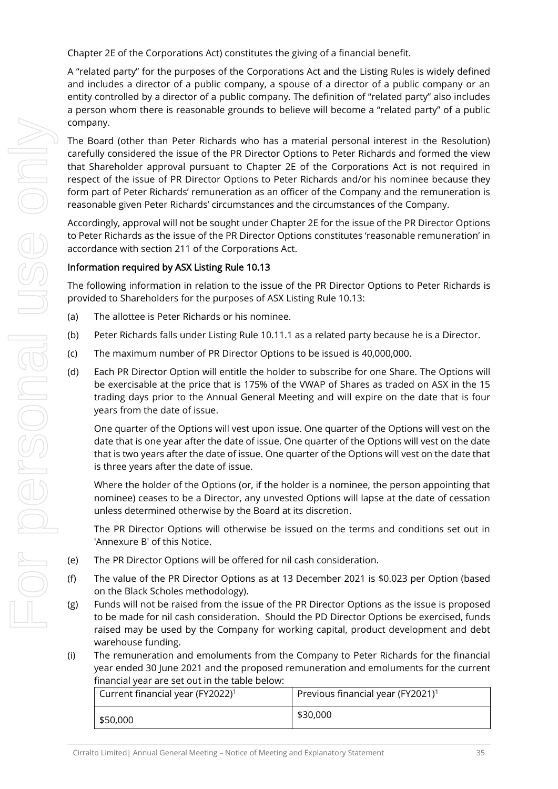Chapter 2E of the Corporations Act) constitutes the giving of a financial benefit.

A "related party" for the purposes of the Corporations Act and the Listing Rules is widely defined and includes a director of a public company, a spouse of a director of a public company or an entity controlled by a director of a public company. The definition of "related party" also includes a person whom there is reasonable grounds to believe will become a "related party" of a public company.

The Board (other than Peter Richards who has a material personal interest in the Resolution) carefully considered the issue of the PR Director Options to Peter Richards and formed the view that Shareholder approval pursuant to Chapter 2E of the Corporations Act is not required in respect of the issue of PR Director Options to Peter Richards and/or his nominee because they form part of Peter Richards' remuneration as an officer of the Company and the remuneration is reasonable given Peter Richards' circumstances and the circumstances of the Company.

Accordingly, approval will not be sought under Chapter 2E for the issue of the PR Director Options to Peter Richards as the issue of the PR Director Options constitutes 'reasonable remuneration' in accordance with section 211 of the Corporations Act.

#### Information required by ASX Listing Rule 10.13

The following information in relation to the issue of the PR Director Options to Peter Richards is provided to Shareholders for the purposes of ASX Listing Rule 10.13:

- (a) The allottee is Peter Richards or his nominee.
- (b) Peter Richards falls under Listing Rule 10.11.1 as a related party because he is a Director.
- (c) The maximum number of PR Director Options to be issued is 40,000,000.
- (d) Each PR Director Option will entitle the holder to subscribe for one Share. The Options will be exercisable at the price that is 175% of the VWAP of Shares as traded on ASX in the 15 trading days prior to the Annual General Meeting and will expire on the date that is four years from the date of issue.

One quarter of the Options will vest upon issue. One quarter of the Options will vest on the date that is one year after the date of issue. One quarter of the Options will vest on the date that is two years after the date of issue. One quarter of the Options will vest on the date that is three years after the date of issue.

Where the holder of the Options (or, if the holder is a nominee, the person appointing that nominee) ceases to be a Director, any unvested Options will lapse at the date of cessation unless determined otherwise by the Board at its discretion.

The PR Director Options will otherwise be issued on the terms and conditions set out in 'Annexure B' of this Notice.

- (e) The PR Director Options will be offered for nil cash consideration.
- (f) The value of the PR Director Options as at 13 December 2021 is \$0.023 per Option (based on the Black Scholes methodology).
- (g) Funds will not be raised from the issue of the PR Director Options as the issue is proposed to be made for nil cash consideration. Should the PD Director Options be exercised, funds raised may be used by the Company for working capital, product development and debt warehouse funding.
- (i) The remuneration and emoluments from the Company to Peter Richards for the financial year ended 30 June 2021 and the proposed remuneration and emoluments for the current financial year are set out in the table below:

| Current financial year (FY2022) <sup>1</sup> | Previous financial year (FY2021) <sup>1</sup> |
|----------------------------------------------|-----------------------------------------------|
| \$50,000                                     | \$30,000                                      |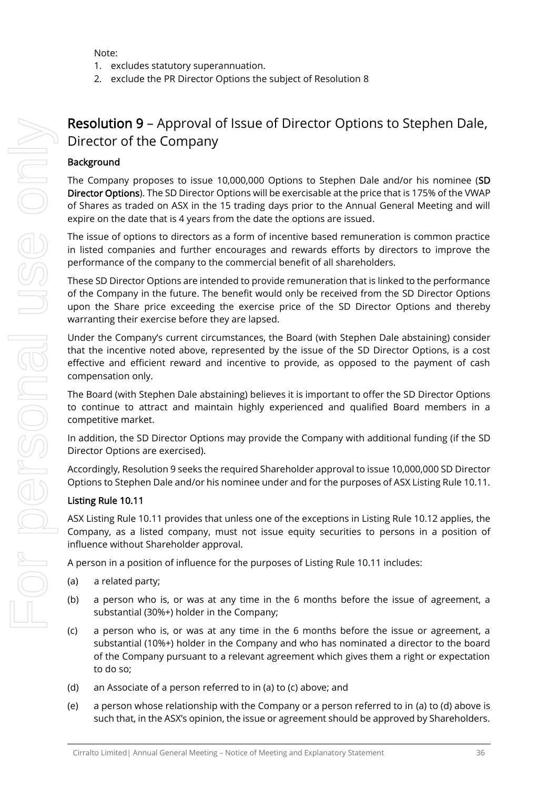Note:

- 1. excludes statutory superannuation.
- 2. exclude the PR Director Options the subject of Resolution 8

## Resolution 9 – Approval of Issue of Director Options to Stephen Dale, Director of the Company

#### **Background**

The Company proposes to issue 10,000,000 Options to Stephen Dale and/or his nominee (SD Director Options). The SD Director Options will be exercisable at the price that is 175% of the VWAP of Shares as traded on ASX in the 15 trading days prior to the Annual General Meeting and will expire on the date that is 4 years from the date the options are issued.

The issue of options to directors as a form of incentive based remuneration is common practice in listed companies and further encourages and rewards efforts by directors to improve the performance of the company to the commercial benefit of all shareholders.

These SD Director Options are intended to provide remuneration that is linked to the performance of the Company in the future. The benefit would only be received from the SD Director Options upon the Share price exceeding the exercise price of the SD Director Options and thereby warranting their exercise before they are lapsed.

Under the Company's current circumstances, the Board (with Stephen Dale abstaining) consider that the incentive noted above, represented by the issue of the SD Director Options, is a cost effective and efficient reward and incentive to provide, as opposed to the payment of cash compensation only.

The Board (with Stephen Dale abstaining) believes it is important to offer the SD Director Options to continue to attract and maintain highly experienced and qualified Board members in a competitive market.

In addition, the SD Director Options may provide the Company with additional funding (if the SD Director Options are exercised).

Accordingly, Resolution 9 seeks the required Shareholder approval to issue 10,000,000 SD Director Options to Stephen Dale and/or his nominee under and for the purposes of ASX Listing Rule 10.11.

#### Listing Rule 10.11

ASX Listing Rule 10.11 provides that unless one of the exceptions in Listing Rule 10.12 applies, the Company, as a listed company, must not issue equity securities to persons in a position of influence without Shareholder approval.

A person in a position of influence for the purposes of Listing Rule 10.11 includes:

- (a) a related party;
- (b) a person who is, or was at any time in the 6 months before the issue of agreement, a substantial (30%+) holder in the Company;
- (c) a person who is, or was at any time in the 6 months before the issue or agreement, a substantial (10%+) holder in the Company and who has nominated a director to the board of the Company pursuant to a relevant agreement which gives them a right or expectation to do so;
- (d) an Associate of a person referred to in (a) to (c) above; and
- (e) a person whose relationship with the Company or a person referred to in (a) to (d) above is such that, in the ASX's opinion, the issue or agreement should be approved by Shareholders.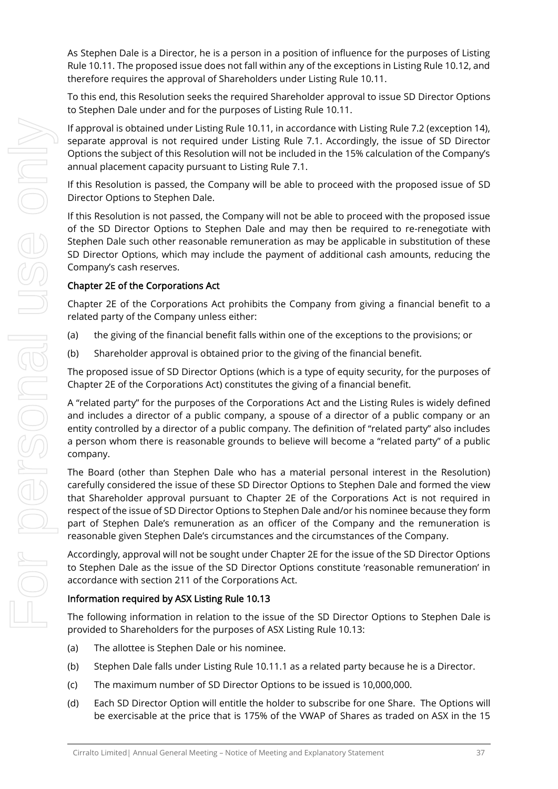As Stephen Dale is a Director, he is a person in a position of influence for the purposes of Listing Rule 10.11. The proposed issue does not fall within any of the exceptions in Listing Rule 10.12, and therefore requires the approval of Shareholders under Listing Rule 10.11.

To this end, this Resolution seeks the required Shareholder approval to issue SD Director Options to Stephen Dale under and for the purposes of Listing Rule 10.11.

If approval is obtained under Listing Rule 10.11, in accordance with Listing Rule 7.2 (exception 14), separate approval is not required under Listing Rule 7.1. Accordingly, the issue of SD Director Options the subject of this Resolution will not be included in the 15% calculation of the Company's annual placement capacity pursuant to Listing Rule 7.1.

If this Resolution is passed, the Company will be able to proceed with the proposed issue of SD Director Options to Stephen Dale.

If this Resolution is not passed, the Company will not be able to proceed with the proposed issue of the SD Director Options to Stephen Dale and may then be required to re-renegotiate with Stephen Dale such other reasonable remuneration as may be applicable in substitution of these SD Director Options, which may include the payment of additional cash amounts, reducing the Company's cash reserves.

#### Chapter 2E of the Corporations Act

Chapter 2E of the Corporations Act prohibits the Company from giving a financial benefit to a related party of the Company unless either:

- (a) the giving of the financial benefit falls within one of the exceptions to the provisions; or
- (b) Shareholder approval is obtained prior to the giving of the financial benefit.

The proposed issue of SD Director Options (which is a type of equity security, for the purposes of Chapter 2E of the Corporations Act) constitutes the giving of a financial benefit.

A "related party" for the purposes of the Corporations Act and the Listing Rules is widely defined and includes a director of a public company, a spouse of a director of a public company or an entity controlled by a director of a public company. The definition of "related party" also includes a person whom there is reasonable grounds to believe will become a "related party" of a public company.

The Board (other than Stephen Dale who has a material personal interest in the Resolution) carefully considered the issue of these SD Director Options to Stephen Dale and formed the view that Shareholder approval pursuant to Chapter 2E of the Corporations Act is not required in respect of the issue of SD Director Options to Stephen Dale and/or his nominee because they form part of Stephen Dale's remuneration as an officer of the Company and the remuneration is reasonable given Stephen Dale's circumstances and the circumstances of the Company.

Accordingly, approval will not be sought under Chapter 2E for the issue of the SD Director Options to Stephen Dale as the issue of the SD Director Options constitute 'reasonable remuneration' in accordance with section 211 of the Corporations Act.

#### Information required by ASX Listing Rule 10.13

The following information in relation to the issue of the SD Director Options to Stephen Dale is provided to Shareholders for the purposes of ASX Listing Rule 10.13:

- (a) The allottee is Stephen Dale or his nominee.
- (b) Stephen Dale falls under Listing Rule 10.11.1 as a related party because he is a Director.
- (c) The maximum number of SD Director Options to be issued is 10,000,000.
- (d) Each SD Director Option will entitle the holder to subscribe for one Share. The Options will be exercisable at the price that is 175% of the VWAP of Shares as traded on ASX in the 15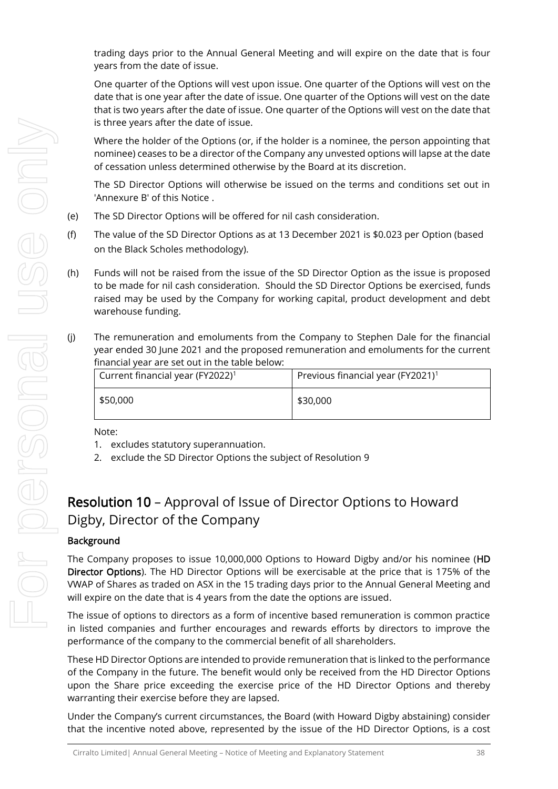trading days prior to the Annual General Meeting and will expire on the date that is four years from the date of issue.

One quarter of the Options will vest upon issue. One quarter of the Options will vest on the date that is one year after the date of issue. One quarter of the Options will vest on the date that is two years after the date of issue. One quarter of the Options will vest on the date that is three years after the date of issue.

Where the holder of the Options (or, if the holder is a nominee, the person appointing that nominee) ceases to be a director of the Company any unvested options will lapse at the date of cessation unless determined otherwise by the Board at its discretion.

The SD Director Options will otherwise be issued on the terms and conditions set out in 'Annexure B' of this Notice .

- (e) The SD Director Options will be offered for nil cash consideration.
- (f) The value of the SD Director Options as at 13 December 2021 is \$0.023 per Option (based on the Black Scholes methodology).
- (h) Funds will not be raised from the issue of the SD Director Option as the issue is proposed to be made for nil cash consideration. Should the SD Director Options be exercised, funds raised may be used by the Company for working capital, product development and debt warehouse funding.
- (j) The remuneration and emoluments from the Company to Stephen Dale for the financial year ended 30 June 2021 and the proposed remuneration and emoluments for the current financial year are set out in the table below:

| Current financial year (FY2022) <sup>1</sup> | Previous financial year (FY2021) <sup>1</sup> |
|----------------------------------------------|-----------------------------------------------|
| \$50,000                                     | \$30,000                                      |

Note:

- 1. excludes statutory superannuation.
- 2. exclude the SD Director Options the subject of Resolution 9

## Resolution 10 – Approval of Issue of Director Options to Howard Digby, Director of the Company

#### Background

The Company proposes to issue 10,000,000 Options to Howard Digby and/or his nominee (HD Director Options). The HD Director Options will be exercisable at the price that is 175% of the VWAP of Shares as traded on ASX in the 15 trading days prior to the Annual General Meeting and will expire on the date that is 4 years from the date the options are issued.

The issue of options to directors as a form of incentive based remuneration is common practice in listed companies and further encourages and rewards efforts by directors to improve the performance of the company to the commercial benefit of all shareholders.

These HD Director Options are intended to provide remuneration that is linked to the performance of the Company in the future. The benefit would only be received from the HD Director Options upon the Share price exceeding the exercise price of the HD Director Options and thereby warranting their exercise before they are lapsed.

Under the Company's current circumstances, the Board (with Howard Digby abstaining) consider that the incentive noted above, represented by the issue of the HD Director Options, is a cost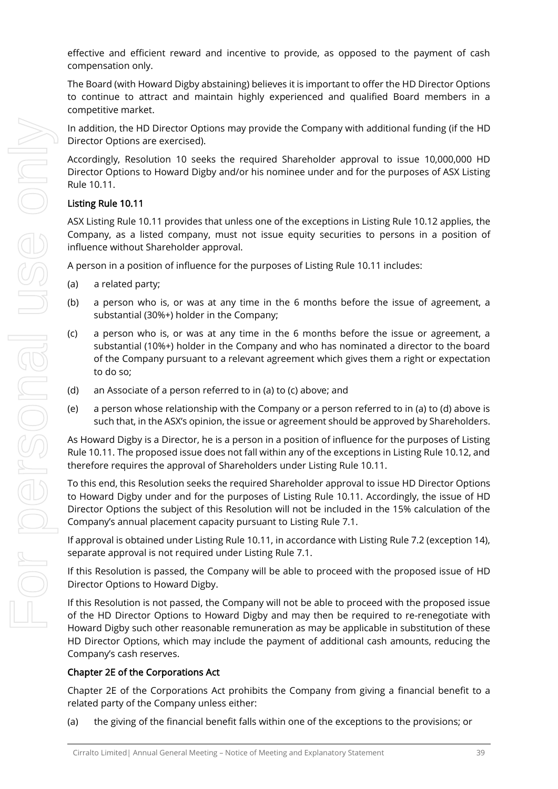effective and efficient reward and incentive to provide, as opposed to the payment of cash compensation only.

The Board (with Howard Digby abstaining) believes it is important to offer the HD Director Options to continue to attract and maintain highly experienced and qualified Board members in a competitive market.

In addition, the HD Director Options may provide the Company with additional funding (if the HD Director Options are exercised).

Accordingly, Resolution 10 seeks the required Shareholder approval to issue 10,000,000 HD Director Options to Howard Digby and/or his nominee under and for the purposes of ASX Listing Rule 10.11.

#### Listing Rule 10.11

ASX Listing Rule 10.11 provides that unless one of the exceptions in Listing Rule 10.12 applies, the Company, as a listed company, must not issue equity securities to persons in a position of influence without Shareholder approval.

A person in a position of influence for the purposes of Listing Rule 10.11 includes:

- (a) a related party;
- (b) a person who is, or was at any time in the 6 months before the issue of agreement, a substantial (30%+) holder in the Company;
- (c) a person who is, or was at any time in the 6 months before the issue or agreement, a substantial (10%+) holder in the Company and who has nominated a director to the board of the Company pursuant to a relevant agreement which gives them a right or expectation to do so;
- (d) an Associate of a person referred to in (a) to (c) above; and
- (e) a person whose relationship with the Company or a person referred to in (a) to (d) above is such that, in the ASX's opinion, the issue or agreement should be approved by Shareholders.

As Howard Digby is a Director, he is a person in a position of influence for the purposes of Listing Rule 10.11. The proposed issue does not fall within any of the exceptions in Listing Rule 10.12, and therefore requires the approval of Shareholders under Listing Rule 10.11.

To this end, this Resolution seeks the required Shareholder approval to issue HD Director Options to Howard Digby under and for the purposes of Listing Rule 10.11. Accordingly, the issue of HD Director Options the subject of this Resolution will not be included in the 15% calculation of the Company's annual placement capacity pursuant to Listing Rule 7.1.

If approval is obtained under Listing Rule 10.11, in accordance with Listing Rule 7.2 (exception 14), separate approval is not required under Listing Rule 7.1.

If this Resolution is passed, the Company will be able to proceed with the proposed issue of HD Director Options to Howard Digby.

If this Resolution is not passed, the Company will not be able to proceed with the proposed issue of the HD Director Options to Howard Digby and may then be required to re-renegotiate with Howard Digby such other reasonable remuneration as may be applicable in substitution of these HD Director Options, which may include the payment of additional cash amounts, reducing the Company's cash reserves.

#### Chapter 2E of the Corporations Act

Chapter 2E of the Corporations Act prohibits the Company from giving a financial benefit to a related party of the Company unless either:

(a) the giving of the financial benefit falls within one of the exceptions to the provisions; or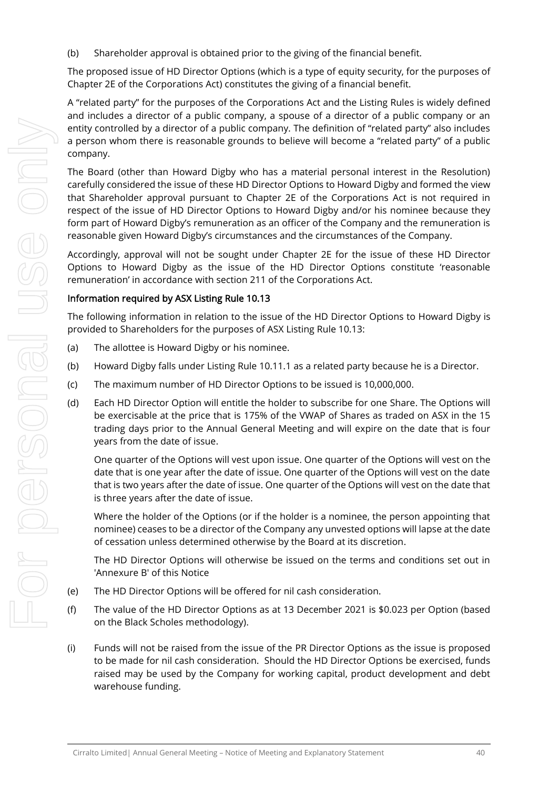(b) Shareholder approval is obtained prior to the giving of the financial benefit.

The proposed issue of HD Director Options (which is a type of equity security, for the purposes of Chapter 2E of the Corporations Act) constitutes the giving of a financial benefit.

A "related party" for the purposes of the Corporations Act and the Listing Rules is widely defined and includes a director of a public company, a spouse of a director of a public company or an entity controlled by a director of a public company. The definition of "related party" also includes a person whom there is reasonable grounds to believe will become a "related party" of a public company.

The Board (other than Howard Digby who has a material personal interest in the Resolution) carefully considered the issue of these HD Director Options to Howard Digby and formed the view that Shareholder approval pursuant to Chapter 2E of the Corporations Act is not required in respect of the issue of HD Director Options to Howard Digby and/or his nominee because they form part of Howard Digby's remuneration as an officer of the Company and the remuneration is reasonable given Howard Digby's circumstances and the circumstances of the Company.

Accordingly, approval will not be sought under Chapter 2E for the issue of these HD Director Options to Howard Digby as the issue of the HD Director Options constitute 'reasonable remuneration' in accordance with section 211 of the Corporations Act.

#### Information required by ASX Listing Rule 10.13

The following information in relation to the issue of the HD Director Options to Howard Digby is provided to Shareholders for the purposes of ASX Listing Rule 10.13:

- (a) The allottee is Howard Digby or his nominee.
- (b) Howard Digby falls under Listing Rule 10.11.1 as a related party because he is a Director.
- (c) The maximum number of HD Director Options to be issued is 10,000,000.
- (d) Each HD Director Option will entitle the holder to subscribe for one Share. The Options will be exercisable at the price that is 175% of the VWAP of Shares as traded on ASX in the 15 trading days prior to the Annual General Meeting and will expire on the date that is four years from the date of issue.

One quarter of the Options will vest upon issue. One quarter of the Options will vest on the date that is one year after the date of issue. One quarter of the Options will vest on the date that is two years after the date of issue. One quarter of the Options will vest on the date that is three years after the date of issue.

Where the holder of the Options (or if the holder is a nominee, the person appointing that nominee) ceases to be a director of the Company any unvested options will lapse at the date of cessation unless determined otherwise by the Board at its discretion.

The HD Director Options will otherwise be issued on the terms and conditions set out in 'Annexure B' of this Notice

- (e) The HD Director Options will be offered for nil cash consideration.
- (f) The value of the HD Director Options as at 13 December 2021 is \$0.023 per Option (based on the Black Scholes methodology).
- (i) Funds will not be raised from the issue of the PR Director Options as the issue is proposed to be made for nil cash consideration. Should the HD Director Options be exercised, funds raised may be used by the Company for working capital, product development and debt warehouse funding.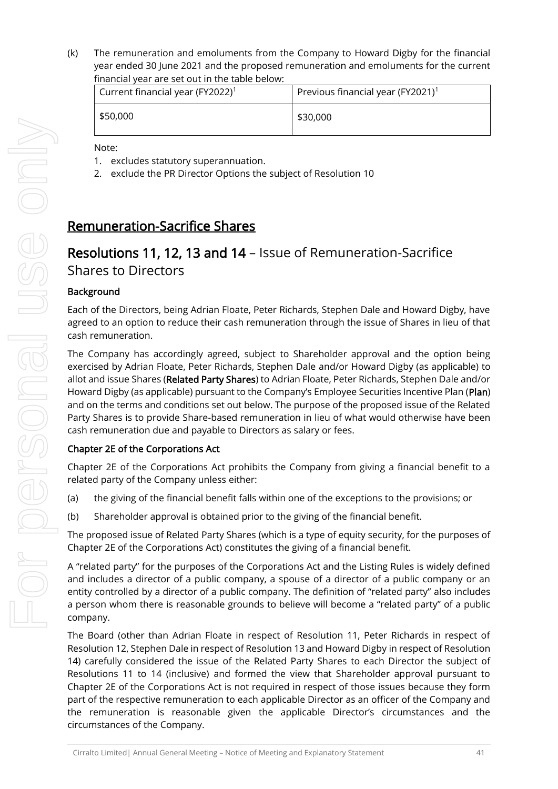(k) The remuneration and emoluments from the Company to Howard Digby for the financial year ended 30 June 2021 and the proposed remuneration and emoluments for the current financial year are set out in the table below:

| Current financial year (FY2022) <sup>1</sup> | Previous financial year (FY2021) <sup>1</sup> |
|----------------------------------------------|-----------------------------------------------|
| \$50,000                                     | \$30,000                                      |

Note:

- 1. excludes statutory superannuation.
- 2. exclude the PR Director Options the subject of Resolution 10

### Remuneration-Sacrifice Shares

## Resolutions 11, 12, 13 and 14 – Issue of Remuneration-Sacrifice Shares to Directors

#### **Background**

Each of the Directors, being Adrian Floate, Peter Richards, Stephen Dale and Howard Digby, have agreed to an option to reduce their cash remuneration through the issue of Shares in lieu of that cash remuneration.

The Company has accordingly agreed, subject to Shareholder approval and the option being exercised by Adrian Floate, Peter Richards, Stephen Dale and/or Howard Digby (as applicable) to allot and issue Shares (Related Party Shares) to Adrian Floate, Peter Richards, Stephen Dale and/or Howard Digby (as applicable) pursuant to the Company's Employee Securities Incentive Plan (Plan) and on the terms and conditions set out below. The purpose of the proposed issue of the Related Party Shares is to provide Share-based remuneration in lieu of what would otherwise have been cash remuneration due and payable to Directors as salary or fees.

#### Chapter 2E of the Corporations Act

Chapter 2E of the Corporations Act prohibits the Company from giving a financial benefit to a related party of the Company unless either:

- (a) the giving of the financial benefit falls within one of the exceptions to the provisions; or
- (b) Shareholder approval is obtained prior to the giving of the financial benefit.

The proposed issue of Related Party Shares (which is a type of equity security, for the purposes of Chapter 2E of the Corporations Act) constitutes the giving of a financial benefit.

A "related party" for the purposes of the Corporations Act and the Listing Rules is widely defined and includes a director of a public company, a spouse of a director of a public company or an entity controlled by a director of a public company. The definition of "related party" also includes a person whom there is reasonable grounds to believe will become a "related party" of a public company.

The Board (other than Adrian Floate in respect of Resolution 11, Peter Richards in respect of Resolution 12, Stephen Dale in respect of Resolution 13 and Howard Digby in respect of Resolution 14) carefully considered the issue of the Related Party Shares to each Director the subject of Resolutions 11 to 14 (inclusive) and formed the view that Shareholder approval pursuant to Chapter 2E of the Corporations Act is not required in respect of those issues because they form part of the respective remuneration to each applicable Director as an officer of the Company and the remuneration is reasonable given the applicable Director's circumstances and the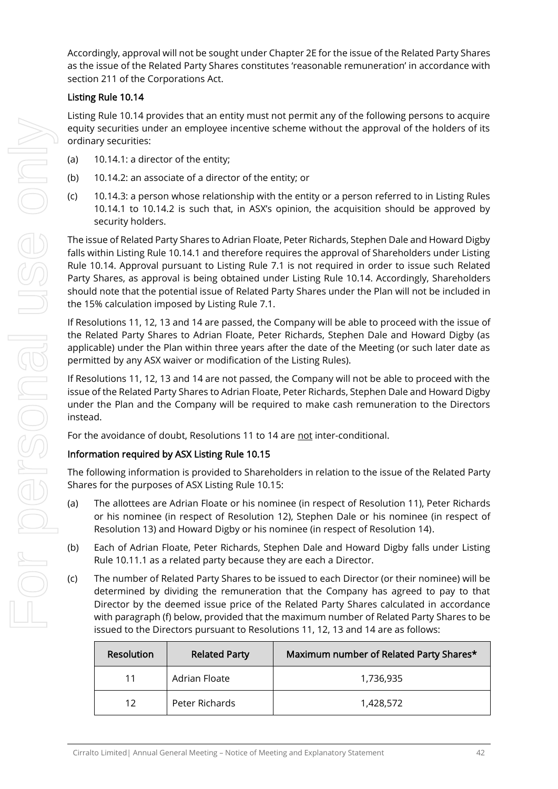Accordingly, approval will not be sought under Chapter 2E for the issue of the Related Party Shares as the issue of the Related Party Shares constitutes 'reasonable remuneration' in accordance with section 211 of the Corporations Act.

#### Listing Rule 10.14

Listing Rule 10.14 provides that an entity must not permit any of the following persons to acquire equity securities under an employee incentive scheme without the approval of the holders of its ordinary securities:

- (a) 10.14.1: a director of the entity;
- (b) 10.14.2: an associate of a director of the entity; or
- (c) 10.14.3: a person whose relationship with the entity or a person referred to in Listing Rules 10.14.1 to 10.14.2 is such that, in ASX's opinion, the acquisition should be approved by security holders.

The issue of Related Party Shares to Adrian Floate, Peter Richards, Stephen Dale and Howard Digby falls within Listing Rule 10.14.1 and therefore requires the approval of Shareholders under Listing Rule 10.14. Approval pursuant to Listing Rule 7.1 is not required in order to issue such Related Party Shares, as approval is being obtained under Listing Rule 10.14. Accordingly, Shareholders should note that the potential issue of Related Party Shares under the Plan will not be included in the 15% calculation imposed by Listing Rule 7.1.

If Resolutions 11, 12, 13 and 14 are passed, the Company will be able to proceed with the issue of the Related Party Shares to Adrian Floate, Peter Richards, Stephen Dale and Howard Digby (as applicable) under the Plan within three years after the date of the Meeting (or such later date as permitted by any ASX waiver or modification of the Listing Rules).

If Resolutions 11, 12, 13 and 14 are not passed, the Company will not be able to proceed with the issue of the Related Party Shares to Adrian Floate, Peter Richards, Stephen Dale and Howard Digby under the Plan and the Company will be required to make cash remuneration to the Directors instead.

For the avoidance of doubt, Resolutions 11 to 14 are not inter-conditional.

#### Information required by ASX Listing Rule 10.15

The following information is provided to Shareholders in relation to the issue of the Related Party Shares for the purposes of ASX Listing Rule 10.15:

- (a) The allottees are Adrian Floate or his nominee (in respect of Resolution 11), Peter Richards or his nominee (in respect of Resolution 12), Stephen Dale or his nominee (in respect of Resolution 13) and Howard Digby or his nominee (in respect of Resolution 14).
- (b) Each of Adrian Floate, Peter Richards, Stephen Dale and Howard Digby falls under Listing Rule 10.11.1 as a related party because they are each a Director.
- (c) The number of Related Party Shares to be issued to each Director (or their nominee) will be determined by dividing the remuneration that the Company has agreed to pay to that Director by the deemed issue price of the Related Party Shares calculated in accordance with paragraph (f) below, provided that the maximum number of Related Party Shares to be issued to the Directors pursuant to Resolutions 11, 12, 13 and 14 are as follows:

| Resolution | <b>Related Party</b> | Maximum number of Related Party Shares* |
|------------|----------------------|-----------------------------------------|
| 11         | Adrian Floate        | 1,736,935                               |
| 12         | Peter Richards       | 1,428,572                               |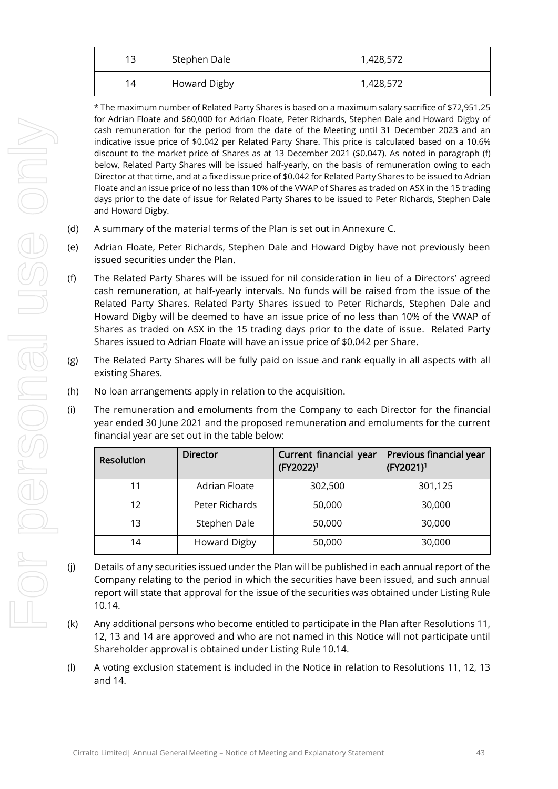| 13 | Stephen Dale        | 1,428,572 |
|----|---------------------|-----------|
| 14 | <b>Howard Digby</b> | 1,428,572 |

\* The maximum number of Related Party Shares is based on a maximum salary sacrifice of \$72,951.25 for Adrian Floate and \$60,000 for Adrian Floate, Peter Richards, Stephen Dale and Howard Digby of cash remuneration for the period from the date of the Meeting until 31 December 2023 and an indicative issue price of \$0.042 per Related Party Share. This price is calculated based on a 10.6% discount to the market price of Shares as at 13 December 2021 (\$0.047). As noted in paragraph (f) below, Related Party Shares will be issued half-yearly, on the basis of remuneration owing to each Director at that time, and at a fixed issue price of \$0.042 for Related Party Shares to be issued to Adrian Floate and an issue price of no less than 10% of the VWAP of Shares as traded on ASX in the 15 trading days prior to the date of issue for Related Party Shares to be issued to Peter Richards, Stephen Dale and Howard Digby.

- (d) A summary of the material terms of the Plan is set out in Annexure C.
- (e) Adrian Floate, Peter Richards, Stephen Dale and Howard Digby have not previously been issued securities under the Plan.
- (f) The Related Party Shares will be issued for nil consideration in lieu of a Directors' agreed cash remuneration, at half-yearly intervals. No funds will be raised from the issue of the Related Party Shares. Related Party Shares issued to Peter Richards, Stephen Dale and Howard Digby will be deemed to have an issue price of no less than 10% of the VWAP of Shares as traded on ASX in the 15 trading days prior to the date of issue. Related Party Shares issued to Adrian Floate will have an issue price of \$0.042 per Share.
- (g) The Related Party Shares will be fully paid on issue and rank equally in all aspects with all existing Shares.
- (h) No loan arrangements apply in relation to the acquisition.
- (i) The remuneration and emoluments from the Company to each Director for the financial year ended 30 June 2021 and the proposed remuneration and emoluments for the current financial year are set out in the table below:

| <b>Resolution</b> | <b>Director</b> | Current financial year<br>(FY2022) <sup>1</sup> | Previous financial year<br>(FY2021) <sup>1</sup> |  |  |  |  |  |  |
|-------------------|-----------------|-------------------------------------------------|--------------------------------------------------|--|--|--|--|--|--|
| 11                | Adrian Floate   | 302,500                                         | 301,125                                          |  |  |  |  |  |  |
| 12                | Peter Richards  | 50,000                                          | 30,000                                           |  |  |  |  |  |  |
| 13                | Stephen Dale    | 50,000                                          | 30,000                                           |  |  |  |  |  |  |
| 14                | Howard Digby    | 50,000                                          | 30,000                                           |  |  |  |  |  |  |

- (j) Details of any securities issued under the Plan will be published in each annual report of the Company relating to the period in which the securities have been issued, and such annual report will state that approval for the issue of the securities was obtained under Listing Rule 10.14.
- (k) Any additional persons who become entitled to participate in the Plan after Resolutions 11, 12, 13 and 14 are approved and who are not named in this Notice will not participate until Shareholder approval is obtained under Listing Rule 10.14.
- (l) A voting exclusion statement is included in the Notice in relation to Resolutions 11, 12, 13 and 14.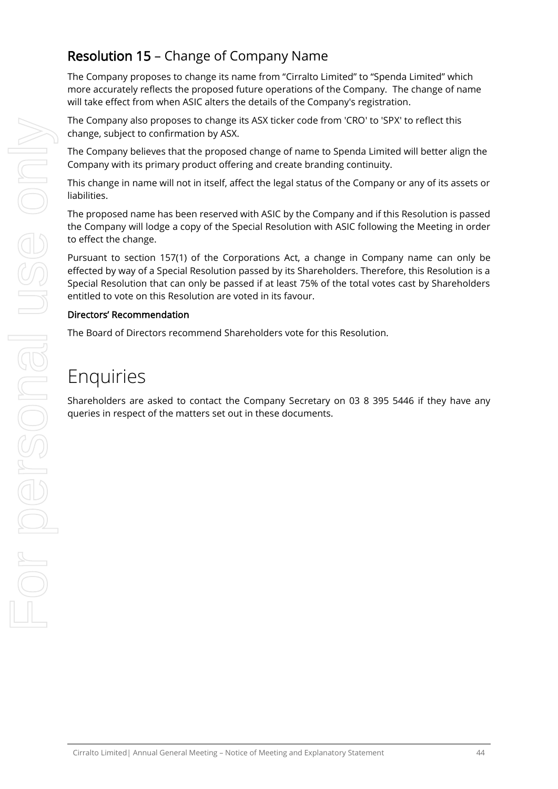## Resolution 15 – Change of Company Name

The Company proposes to change its name from "Cirralto Limited" to "Spenda Limited" which more accurately reflects the proposed future operations of the Company. The change of name will take effect from when ASIC alters the details of the Company's registration.

The Company also proposes to change its ASX ticker code from 'CRO' to 'SPX' to reflect this change, subject to confirmation by ASX.

The Company believes that the proposed change of name to Spenda Limited will better align the Company with its primary product offering and create branding continuity.

This change in name will not in itself, affect the legal status of the Company or any of its assets or liabilities.

The proposed name has been reserved with ASIC by the Company and if this Resolution is passed the Company will lodge a copy of the Special Resolution with ASIC following the Meeting in order to effect the change.

Pursuant to section 157(1) of the Corporations Act, a change in Company name can only be effected by way of a Special Resolution passed by its Shareholders. Therefore, this Resolution is a Special Resolution that can only be passed if at least 75% of the total votes cast by Shareholders entitled to vote on this Resolution are voted in its favour.

#### Directors' Recommendation

The Board of Directors recommend Shareholders vote for this Resolution.

## Enquiries

Shareholders are asked to contact the Company Secretary on 03 8 395 5446 if they have any queries in respect of the matters set out in these documents.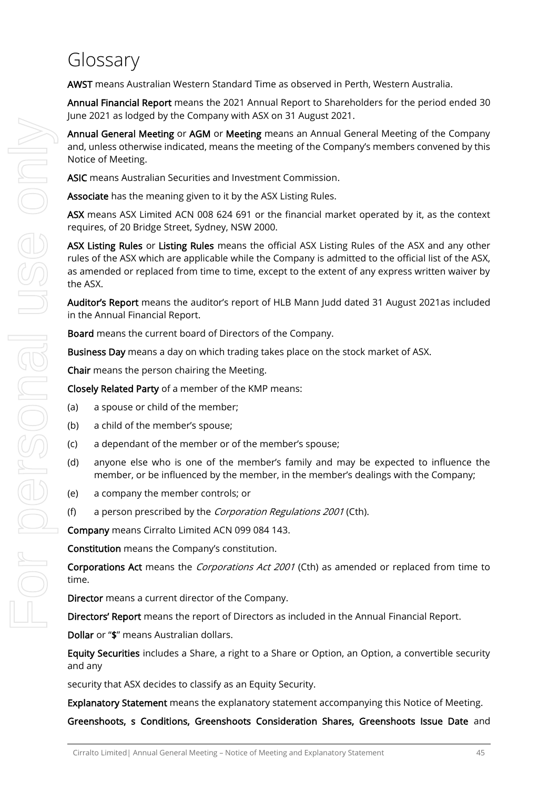## Glossary

AWST means Australian Western Standard Time as observed in Perth, Western Australia.

Annual Financial Report means the 2021 Annual Report to Shareholders for the period ended 30 June 2021 as lodged by the Company with ASX on 31 August 2021.

Annual General Meeting or AGM or Meeting means an Annual General Meeting of the Company and, unless otherwise indicated, means the meeting of the Company's members convened by this Notice of Meeting.

ASIC means Australian Securities and Investment Commission.

Associate has the meaning given to it by the ASX Listing Rules.

ASX means ASX Limited ACN 008 624 691 or the financial market operated by it, as the context requires, of 20 Bridge Street, Sydney, NSW 2000.

ASX Listing Rules or Listing Rules means the official ASX Listing Rules of the ASX and any other rules of the ASX which are applicable while the Company is admitted to the official list of the ASX, as amended or replaced from time to time, except to the extent of any express written waiver by the ASX.

Auditor's Report means the auditor's report of HLB Mann Judd dated 31 August 2021as included in the Annual Financial Report.

Board means the current board of Directors of the Company.

Business Day means a day on which trading takes place on the stock market of ASX.

Chair means the person chairing the Meeting.

Closely Related Party of a member of the KMP means:

- (a) a spouse or child of the member;
- (b) a child of the member's spouse;
- (c) a dependant of the member or of the member's spouse;
- (d) anyone else who is one of the member's family and may be expected to influence the member, or be influenced by the member, in the member's dealings with the Company;
- (e) a company the member controls; or
- (f) a person prescribed by the *Corporation Regulations 2001* (Cth).

Company means Cirralto Limited ACN 099 084 143.

Constitution means the Company's constitution.

Corporations Act means the *Corporations Act 2001* (Cth) as amended or replaced from time to time.

Director means a current director of the Company.

Directors' Report means the report of Directors as included in the Annual Financial Report.

Dollar or "\$" means Australian dollars.

Equity Securities includes a Share, a right to a Share or Option, an Option, a convertible security and any

security that ASX decides to classify as an Equity Security.

Explanatory Statement means the explanatory statement accompanying this Notice of Meeting.

Greenshoots, s Conditions, Greenshoots Consideration Shares, Greenshoots Issue Date and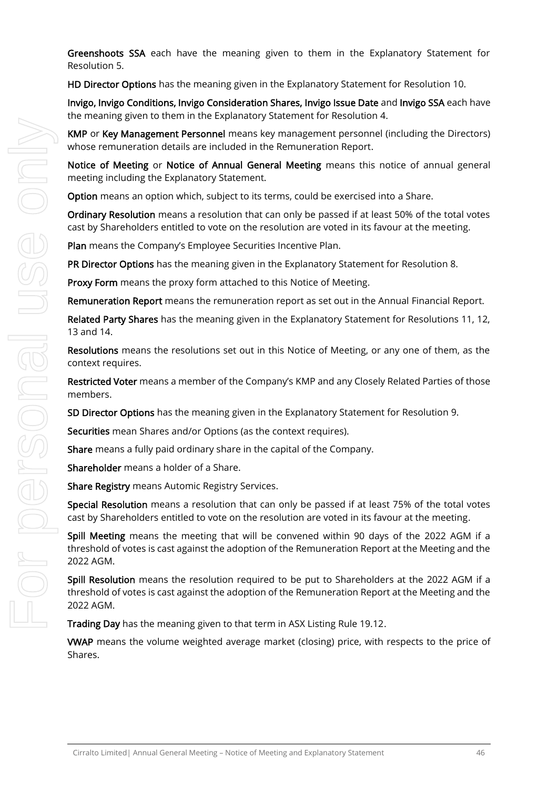Greenshoots SSA each have the meaning given to them in the Explanatory Statement for Resolution 5.

HD Director Options has the meaning given in the Explanatory Statement for Resolution 10.

Invigo, Invigo Conditions, Invigo Consideration Shares, Invigo Issue Date and Invigo SSA each have the meaning given to them in the Explanatory Statement for Resolution 4.

KMP or Key Management Personnel means key management personnel (including the Directors) whose remuneration details are included in the Remuneration Report.

Notice of Meeting or Notice of Annual General Meeting means this notice of annual general meeting including the Explanatory Statement.

Option means an option which, subject to its terms, could be exercised into a Share.

Ordinary Resolution means a resolution that can only be passed if at least 50% of the total votes cast by Shareholders entitled to vote on the resolution are voted in its favour at the meeting.

Plan means the Company's Employee Securities Incentive Plan.

PR Director Options has the meaning given in the Explanatory Statement for Resolution 8.

Proxy Form means the proxy form attached to this Notice of Meeting.

Remuneration Report means the remuneration report as set out in the Annual Financial Report.

Related Party Shares has the meaning given in the Explanatory Statement for Resolutions 11, 12, 13 and 14.

Resolutions means the resolutions set out in this Notice of Meeting, or any one of them, as the context requires.

Restricted Voter means a member of the Company's KMP and any Closely Related Parties of those members.

SD Director Options has the meaning given in the Explanatory Statement for Resolution 9.

Securities mean Shares and/or Options (as the context requires).

Share means a fully paid ordinary share in the capital of the Company.

Shareholder means a holder of a Share.

Share Registry means Automic Registry Services.

Special Resolution means a resolution that can only be passed if at least 75% of the total votes cast by Shareholders entitled to vote on the resolution are voted in its favour at the meeting.

Spill Meeting means the meeting that will be convened within 90 days of the 2022 AGM if a threshold of votes is cast against the adoption of the Remuneration Report at the Meeting and the 2022 AGM.

Spill Resolution means the resolution required to be put to Shareholders at the 2022 AGM if a threshold of votes is cast against the adoption of the Remuneration Report at the Meeting and the 2022 AGM.

Trading Day has the meaning given to that term in ASX Listing Rule 19.12.

VWAP means the volume weighted average market (closing) price, with respects to the price of Shares.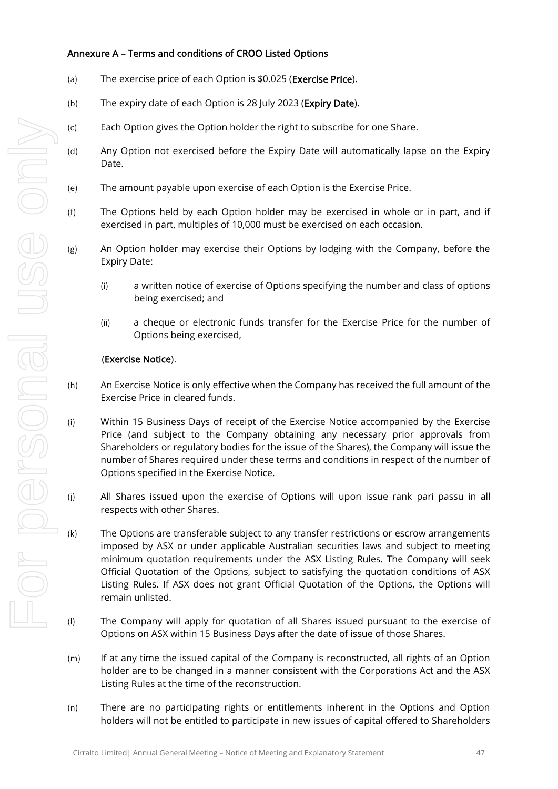#### Annexure A – Terms and conditions of CROO Listed Options

- (a) The exercise price of each Option is \$0.025 (Exercise Price).
- (b) The expiry date of each Option is 28 July 2023 (Expiry Date).
- (c) Each Option gives the Option holder the right to subscribe for one Share.
- (d) Any Option not exercised before the Expiry Date will automatically lapse on the Expiry Date.
- (e) The amount payable upon exercise of each Option is the Exercise Price.
- (f) The Options held by each Option holder may be exercised in whole or in part, and if exercised in part, multiples of 10,000 must be exercised on each occasion.
- (g) An Option holder may exercise their Options by lodging with the Company, before the Expiry Date:
	- (i) a written notice of exercise of Options specifying the number and class of options being exercised; and
	- (ii) a cheque or electronic funds transfer for the Exercise Price for the number of Options being exercised,

#### (Exercise Notice).

- (h) An Exercise Notice is only effective when the Company has received the full amount of the Exercise Price in cleared funds.
- (i) Within 15 Business Days of receipt of the Exercise Notice accompanied by the Exercise Price (and subject to the Company obtaining any necessary prior approvals from Shareholders or regulatory bodies for the issue of the Shares), the Company will issue the number of Shares required under these terms and conditions in respect of the number of Options specified in the Exercise Notice.
- (j) All Shares issued upon the exercise of Options will upon issue rank pari passu in all respects with other Shares.
- (k) The Options are transferable subject to any transfer restrictions or escrow arrangements imposed by ASX or under applicable Australian securities laws and subject to meeting minimum quotation requirements under the ASX Listing Rules. The Company will seek Official Quotation of the Options, subject to satisfying the quotation conditions of ASX Listing Rules. If ASX does not grant Official Quotation of the Options, the Options will remain unlisted.
- (l) The Company will apply for quotation of all Shares issued pursuant to the exercise of Options on ASX within 15 Business Days after the date of issue of those Shares.
- (m) If at any time the issued capital of the Company is reconstructed, all rights of an Option holder are to be changed in a manner consistent with the Corporations Act and the ASX Listing Rules at the time of the reconstruction.
- (n) There are no participating rights or entitlements inherent in the Options and Option holders will not be entitled to participate in new issues of capital offered to Shareholders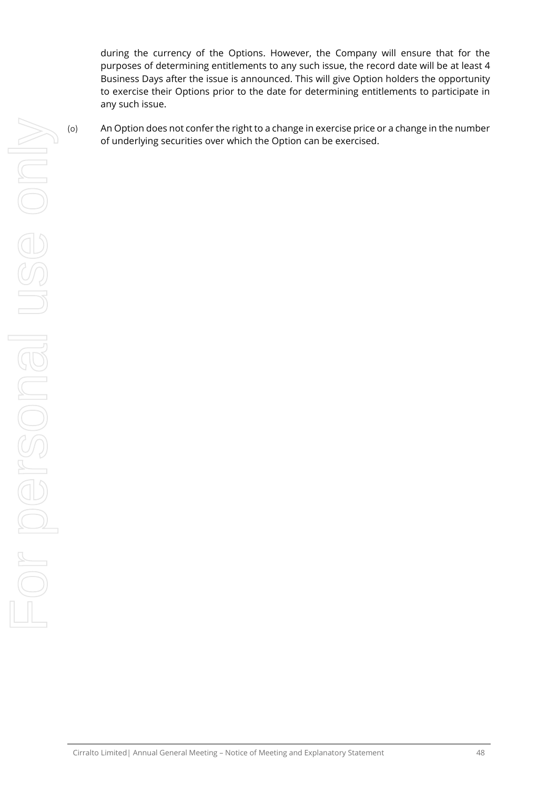during the currency of the Options. However, the Company will ensure that for the purposes of determining entitlements to any such issue, the record date will be at least 4 Business Days after the issue is announced. This will give Option holders the opportunity to exercise their Options prior to the date for determining entitlements to participate in any such issue.

(o) An Option does not confer the right to a change in exercise price or a change in the number of underlying securities over which the Option can be exercised.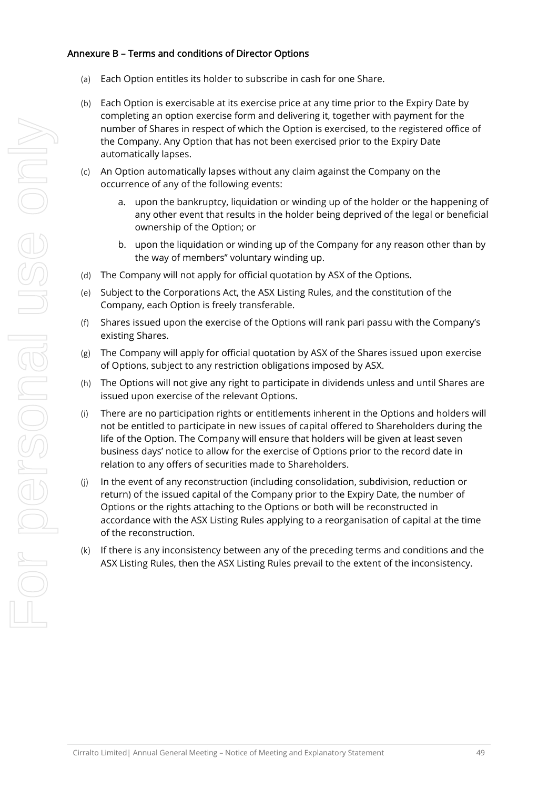#### Annexure B – Terms and conditions of Director Options

- (a) Each Option entitles its holder to subscribe in cash for one Share.
- (b) Each Option is exercisable at its exercise price at any time prior to the Expiry Date by completing an option exercise form and delivering it, together with payment for the number of Shares in respect of which the Option is exercised, to the registered office of the Company. Any Option that has not been exercised prior to the Expiry Date automatically lapses.
- (c) An Option automatically lapses without any claim against the Company on the occurrence of any of the following events:
	- a. upon the bankruptcy, liquidation or winding up of the holder or the happening of any other event that results in the holder being deprived of the legal or beneficial ownership of the Option; or
	- b. upon the liquidation or winding up of the Company for any reason other than by the way of members'' voluntary winding up.
- (d) The Company will not apply for official quotation by ASX of the Options.
- (e) Subject to the Corporations Act, the ASX Listing Rules, and the constitution of the Company, each Option is freely transferable.
- (f) Shares issued upon the exercise of the Options will rank pari passu with the Company's existing Shares.
- (g) The Company will apply for official quotation by ASX of the Shares issued upon exercise of Options, subject to any restriction obligations imposed by ASX.
- (h) The Options will not give any right to participate in dividends unless and until Shares are issued upon exercise of the relevant Options.
- (i) There are no participation rights or entitlements inherent in the Options and holders will not be entitled to participate in new issues of capital offered to Shareholders during the life of the Option. The Company will ensure that holders will be given at least seven business days' notice to allow for the exercise of Options prior to the record date in relation to any offers of securities made to Shareholders.
- (j) In the event of any reconstruction (including consolidation, subdivision, reduction or return) of the issued capital of the Company prior to the Expiry Date, the number of Options or the rights attaching to the Options or both will be reconstructed in accordance with the ASX Listing Rules applying to a reorganisation of capital at the time of the reconstruction.
- (k) If there is any inconsistency between any of the preceding terms and conditions and the ASX Listing Rules, then the ASX Listing Rules prevail to the extent of the inconsistency.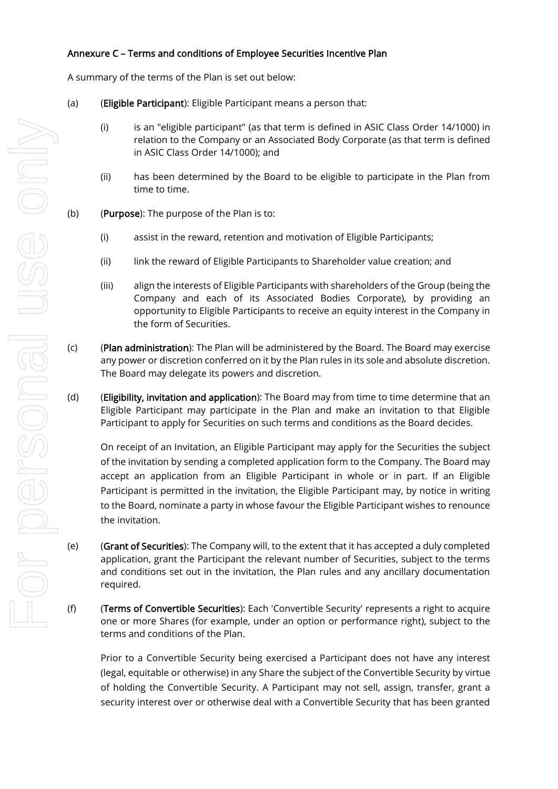#### Annexure C – Terms and conditions of Employee Securities Incentive Plan

A summary of the terms of the Plan is set out below:

- (a) (Eligible Participant): Eligible Participant means a person that:
	- (i) is an "eligible participant" (as that term is defined in ASIC Class Order 14/1000) in relation to the Company or an Associated Body Corporate (as that term is defined in ASIC Class Order 14/1000); and
	- (ii) has been determined by the Board to be eligible to participate in the Plan from time to time.
- (b) (Purpose): The purpose of the Plan is to:
	- (i) assist in the reward, retention and motivation of Eligible Participants;
	- (ii) link the reward of Eligible Participants to Shareholder value creation; and
	- (iii) align the interests of Eligible Participants with shareholders of the Group (being the Company and each of its Associated Bodies Corporate), by providing an opportunity to Eligible Participants to receive an equity interest in the Company in the form of Securities.
- (c) (Plan administration): The Plan will be administered by the Board. The Board may exercise any power or discretion conferred on it by the Plan rules in its sole and absolute discretion. The Board may delegate its powers and discretion.
- (d) (Eligibility, invitation and application): The Board may from time to time determine that an Eligible Participant may participate in the Plan and make an invitation to that Eligible Participant to apply for Securities on such terms and conditions as the Board decides.

On receipt of an Invitation, an Eligible Participant may apply for the Securities the subject of the invitation by sending a completed application form to the Company. The Board may accept an application from an Eligible Participant in whole or in part. If an Eligible Participant is permitted in the invitation, the Eligible Participant may, by notice in writing to the Board, nominate a party in whose favour the Eligible Participant wishes to renounce the invitation.

(e) (Grant of Securities): The Company will, to the extent that it has accepted a duly completed application, grant the Participant the relevant number of Securities, subject to the terms and conditions set out in the invitation, the Plan rules and any ancillary documentation required.

(f) (Terms of Convertible Securities): Each 'Convertible Security' represents a right to acquire one or more Shares (for example, under an option or performance right), subject to the terms and conditions of the Plan.

Prior to a Convertible Security being exercised a Participant does not have any interest (legal, equitable or otherwise) in any Share the subject of the Convertible Security by virtue of holding the Convertible Security. A Participant may not sell, assign, transfer, grant a security interest over or otherwise deal with a Convertible Security that has been granted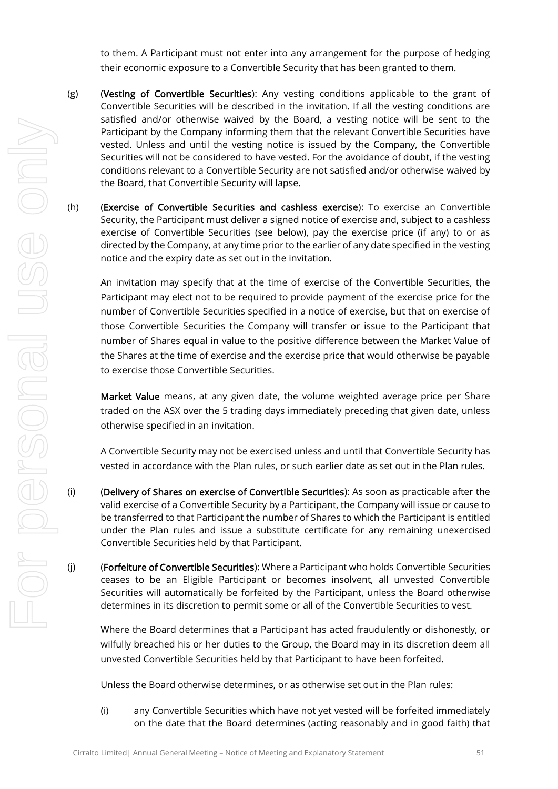to them. A Participant must not enter into any arrangement for the purpose of hedging their economic exposure to a Convertible Security that has been granted to them.

- $(g)$  (Vesting of Convertible Securities): Any vesting conditions applicable to the grant of Convertible Securities will be described in the invitation. If all the vesting conditions are satisfied and/or otherwise waived by the Board, a vesting notice will be sent to the Participant by the Company informing them that the relevant Convertible Securities have vested. Unless and until the vesting notice is issued by the Company, the Convertible Securities will not be considered to have vested. For the avoidance of doubt, if the vesting conditions relevant to a Convertible Security are not satisfied and/or otherwise waived by the Board, that Convertible Security will lapse.
- (h) (Exercise of Convertible Securities and cashless exercise): To exercise an Convertible Security, the Participant must deliver a signed notice of exercise and, subject to a cashless exercise of Convertible Securities (see below), pay the exercise price (if any) to or as directed by the Company, at any time prior to the earlier of any date specified in the vesting notice and the expiry date as set out in the invitation.

An invitation may specify that at the time of exercise of the Convertible Securities, the Participant may elect not to be required to provide payment of the exercise price for the number of Convertible Securities specified in a notice of exercise, but that on exercise of those Convertible Securities the Company will transfer or issue to the Participant that number of Shares equal in value to the positive difference between the Market Value of the Shares at the time of exercise and the exercise price that would otherwise be payable to exercise those Convertible Securities.

Market Value means, at any given date, the volume weighted average price per Share traded on the ASX over the 5 trading days immediately preceding that given date, unless otherwise specified in an invitation.

A Convertible Security may not be exercised unless and until that Convertible Security has vested in accordance with the Plan rules, or such earlier date as set out in the Plan rules.

- (i) (Delivery of Shares on exercise of Convertible Securities): As soon as practicable after the valid exercise of a Convertible Security by a Participant, the Company will issue or cause to be transferred to that Participant the number of Shares to which the Participant is entitled under the Plan rules and issue a substitute certificate for any remaining unexercised Convertible Securities held by that Participant.
- (j) (Forfeiture of Convertible Securities): Where a Participant who holds Convertible Securities ceases to be an Eligible Participant or becomes insolvent, all unvested Convertible Securities will automatically be forfeited by the Participant, unless the Board otherwise determines in its discretion to permit some or all of the Convertible Securities to vest.

Where the Board determines that a Participant has acted fraudulently or dishonestly, or wilfully breached his or her duties to the Group, the Board may in its discretion deem all unvested Convertible Securities held by that Participant to have been forfeited.

Unless the Board otherwise determines, or as otherwise set out in the Plan rules:

(i) any Convertible Securities which have not yet vested will be forfeited immediately on the date that the Board determines (acting reasonably and in good faith) that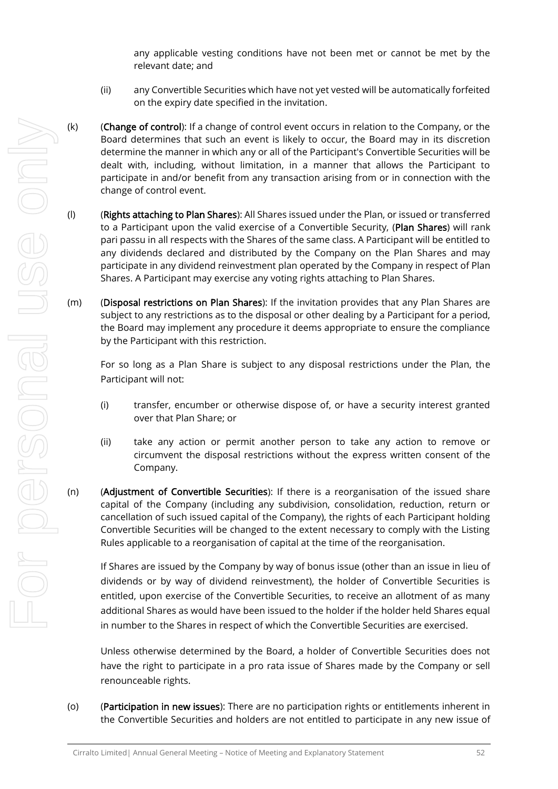any applicable vesting conditions have not been met or cannot be met by the relevant date; and

- (ii) any Convertible Securities which have not yet vested will be automatically forfeited on the expiry date specified in the invitation.
- (k) (Change of control): If a change of control event occurs in relation to the Company, or the Board determines that such an event is likely to occur, the Board may in its discretion determine the manner in which any or all of the Participant's Convertible Securities will be dealt with, including, without limitation, in a manner that allows the Participant to participate in and/or benefit from any transaction arising from or in connection with the change of control event.
- (l) (Rights attaching to Plan Shares): All Shares issued under the Plan, or issued or transferred to a Participant upon the valid exercise of a Convertible Security, (Plan Shares) will rank pari passu in all respects with the Shares of the same class. A Participant will be entitled to any dividends declared and distributed by the Company on the Plan Shares and may participate in any dividend reinvestment plan operated by the Company in respect of Plan Shares. A Participant may exercise any voting rights attaching to Plan Shares.
- (m) (Disposal restrictions on Plan Shares): If the invitation provides that any Plan Shares are subject to any restrictions as to the disposal or other dealing by a Participant for a period, the Board may implement any procedure it deems appropriate to ensure the compliance by the Participant with this restriction.

For so long as a Plan Share is subject to any disposal restrictions under the Plan, the Participant will not:

- (i) transfer, encumber or otherwise dispose of, or have a security interest granted over that Plan Share; or
- (ii) take any action or permit another person to take any action to remove or circumvent the disposal restrictions without the express written consent of the Company.
- (n) (Adjustment of Convertible Securities): If there is a reorganisation of the issued share capital of the Company (including any subdivision, consolidation, reduction, return or cancellation of such issued capital of the Company), the rights of each Participant holding Convertible Securities will be changed to the extent necessary to comply with the Listing Rules applicable to a reorganisation of capital at the time of the reorganisation.

If Shares are issued by the Company by way of bonus issue (other than an issue in lieu of dividends or by way of dividend reinvestment), the holder of Convertible Securities is entitled, upon exercise of the Convertible Securities, to receive an allotment of as many additional Shares as would have been issued to the holder if the holder held Shares equal in number to the Shares in respect of which the Convertible Securities are exercised.

Unless otherwise determined by the Board, a holder of Convertible Securities does not have the right to participate in a pro rata issue of Shares made by the Company or sell renounceable rights.

(o) (Participation in new issues): There are no participation rights or entitlements inherent in the Convertible Securities and holders are not entitled to participate in any new issue of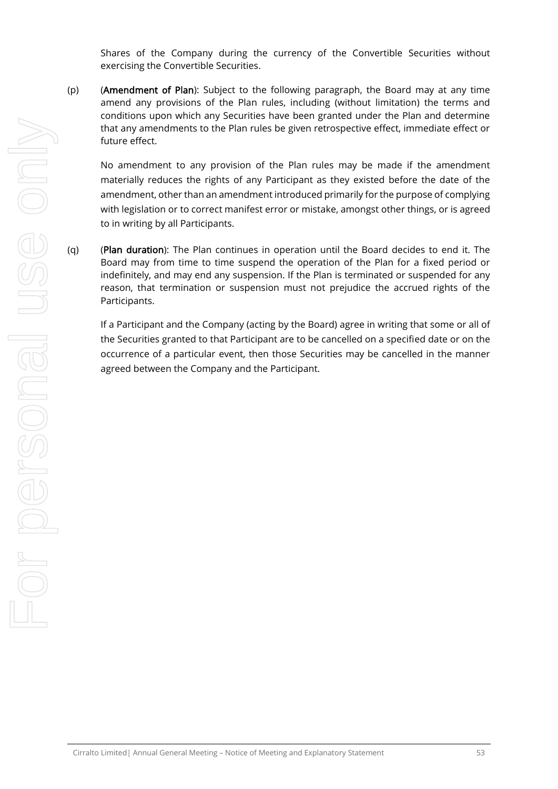Shares of the Company during the currency of the Convertible Securities without exercising the Convertible Securities.

(p) (Amendment of Plan): Subject to the following paragraph, the Board may at any time amend any provisions of the Plan rules, including (without limitation) the terms and conditions upon which any Securities have been granted under the Plan and determine that any amendments to the Plan rules be given retrospective effect, immediate effect or future effect.

No amendment to any provision of the Plan rules may be made if the amendment materially reduces the rights of any Participant as they existed before the date of the amendment, other than an amendment introduced primarily for the purpose of complying with legislation or to correct manifest error or mistake, amongst other things, or is agreed to in writing by all Participants.

(q) (Plan duration): The Plan continues in operation until the Board decides to end it. The Board may from time to time suspend the operation of the Plan for a fixed period or indefinitely, and may end any suspension. If the Plan is terminated or suspended for any reason, that termination or suspension must not prejudice the accrued rights of the Participants.

If a Participant and the Company (acting by the Board) agree in writing that some or all of the Securities granted to that Participant are to be cancelled on a specified date or on the occurrence of a particular event, then those Securities may be cancelled in the manner agreed between the Company and the Participant.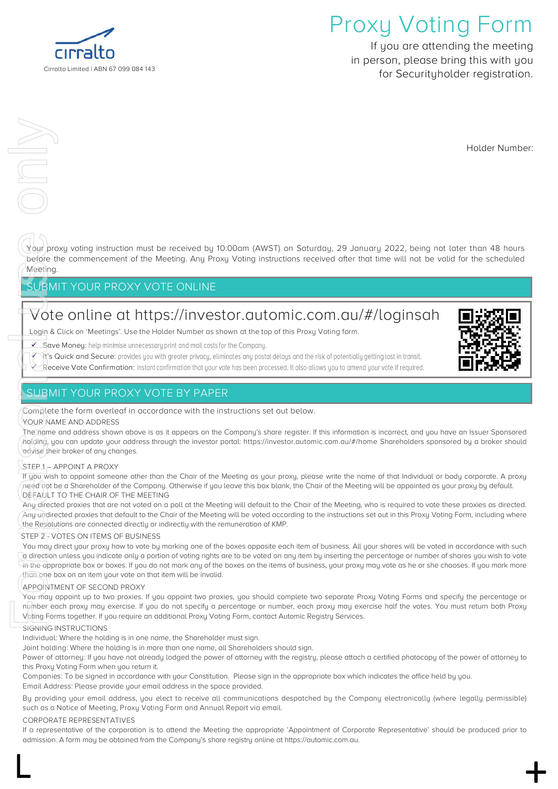

## **Proxy Voting Form**

**If you are attending the meeting in person, please bring this with you for Securityholder registration.**

**Holder Number:**

Your proxy voting instruction must be received by **10:00am (AWST) on Saturday, 29 January 2022,** being **not later than 48 hours** before the commencement of the Meeting. Any Proxy Voting instructions received after that time will not be valid for the scheduled Meeting.

#### **SUBMIT YOUR PROXY VOTE ONLINE**

## **Vote online at<https://investor.automic.com.au/#/loginsah>**

**Login & Click on 'Meetings'. Use the Holder Number as shown at the top of this Proxy Voting form.**

✓ **Save Money:**

- It's Quick and Secure: provides you with greater privacy, eliminates any postal delays and the risk of potentially getting lost in transit.
- **√ Receive Vote Confirmation:** instant confirmation that your vote has been processed. It also allows you to amend your vote if required.

#### **SUBMIT YOUR PROXY VOTE BY PAPER**

**Complete the form overleaf in accordance with the instructions set out below.**

#### **YOUR NAME AND ADDRESS**

The name and address shown above is as it appears on the Company's share register. If this information is incorrect, and you have an Issuer Sponsored holding, you can update your address through the investor portal: **https://investor.automic.com.au/#/home** Shareholders sponsored by a broker should advise their broker of any changes.

#### **STEP 1 – APPOINT A PROXY**

If you wish to appoint someone other than the Chair of the Meeting as your proxy, please write the name of that Individual or body corporate. A proxy need not be a Shareholder of the Company. Otherwise if you leave this box blank, the Chair of the Meeting will be appointed as your proxy by default. **DEFAULT TO THE CHAIR OF THE MEETING**

Any directed proxies that are not voted on a poll at the Meeting will default to the Chair of the Meeting, who is required to vote these proxies as directed. Any undirected proxies that default to the Chair of the Meeting will be voted according to the instructions set out in this Proxy Voting Form, including where the Resolutions are connected directly or indirectly with the remuneration of KMP.

#### **STEP 2 - VOTES ON ITEMS OF BUSINESS**

You may direct your proxy how to vote by marking one of the boxes opposite each item of business. All your shares will be voted in accordance with such a direction unless you indicate only a portion of voting rights are to be voted on any item by inserting the percentage or number of shares you wish to vote in the appropriate box or boxes. If you do not mark any of the boxes on the items of business, your proxy may vote as he or she chooses. If you mark more than one box on an item your vote on that item will be invalid. For Personal use of the Resource on the approximation of the APPOINTN To the APPOINTN The name of APPOINTN The manner of the APPOINTN The manner of the APPOINTN The manner of the APPOINTN The manner of the APPOINTN The man

#### **APPOINTMENT OF SECOND PROXY**

You may appoint up to two proxies. If you appoint two proxies, you should complete two separate Proxy Voting Forms and specify the percentage or number each proxy may exercise. If you do not specify a percentage or number, each proxy may exercise half the votes. You must return both Proxy Voting Forms together. If you require an additional Proxy Voting Form, contact Automic Registry Services.

#### **SIGNING INSTRUCTIONS**

**Individual**: Where the holding is in one name, the Shareholder must sign.

**Joint holding**: Where the holding is in more than one name, all Shareholders should sign.

**Power of attorney**: If you have not already lodged the power of attorney with the registry, please attach a certified photocopy of the power of attorney to this Proxy Voting Form when you return it.

Companies: To be signed in accordance with your Constitution. Please sign in the appropriate box which indicates the office held by you. **Email Address**: Please provide your email address in the space provided.

**By providing your email address, you elect to receive all communications despatched by the Company electronically (where legally permissible) such as a Notice of Meeting, Proxy Voting Form and Annual Report via email.**

#### **CORPORATE REPRESENTATIVES**

If a representative of the corporation is to attend the Meeting the appropriate 'Appointment of Corporate Representative' should be produced prior to admission. A form may be obtained from the Company's share registry online at https://automic.com.au.

 $\mathsf{L}$  +